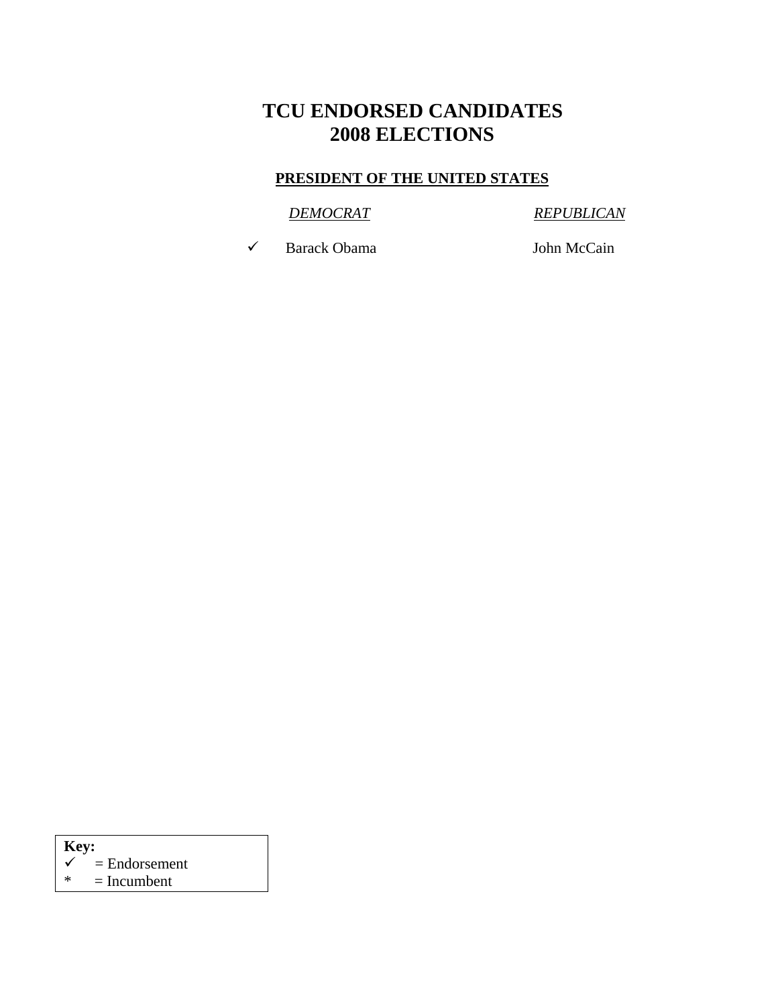# **TCU ENDORSED CANDIDATES 2008 ELECTIONS**

#### **PRESIDENT OF THE UNITED STATES**

#### *DEMOCRAT REPUBLICAN*

◆ Barack Obama John McCain

| Key: |                            |
|------|----------------------------|
|      | $\checkmark$ = Endorsement |
|      |                            |

 $* = Incumbent$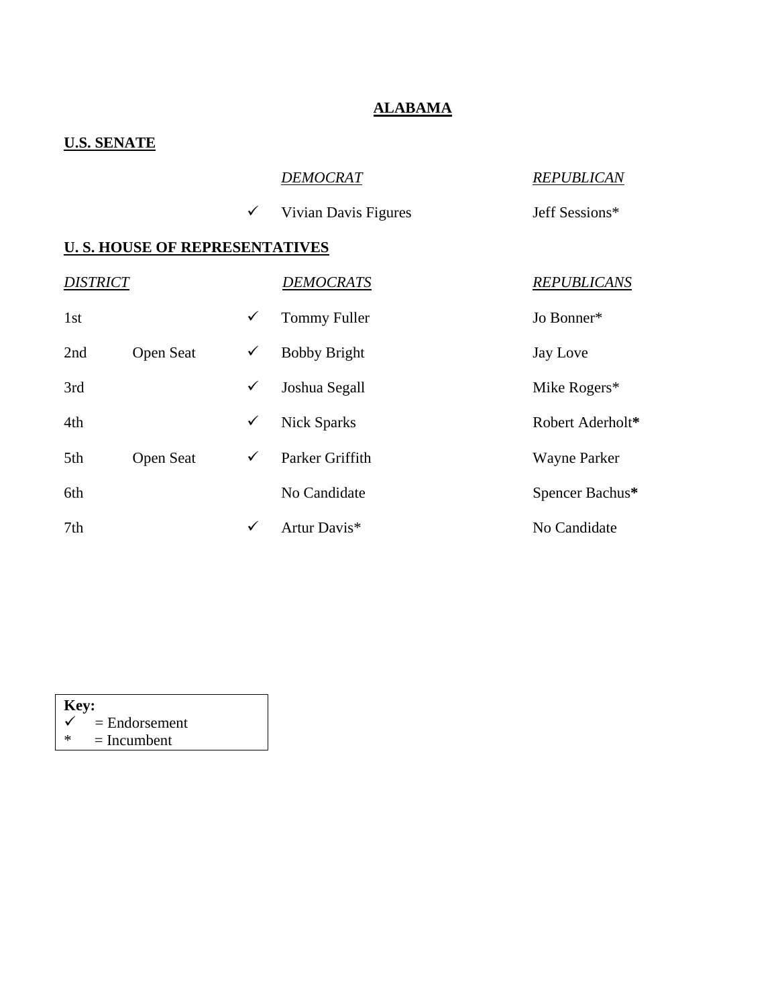### **ALABAMA**

# **U.S. SENATE**

|                        |                                      |              | DEMOCRAT             | <b>REPUBLICAN</b>   |
|------------------------|--------------------------------------|--------------|----------------------|---------------------|
|                        |                                      | ✓            | Vivian Davis Figures | Jeff Sessions*      |
|                        | <b>U.S. HOUSE OF REPRESENTATIVES</b> |              |                      |                     |
| <i><b>DISTRICT</b></i> |                                      |              | <b>DEMOCRATS</b>     | <b>REPUBLICANS</b>  |
| 1st                    |                                      | ✓            | <b>Tommy Fuller</b>  | Jo Bonner*          |
| 2nd                    | Open Seat                            | ✓            | <b>Bobby Bright</b>  | Jay Love            |
| 3rd                    |                                      | ✓            | Joshua Segall        | Mike Rogers*        |
| 4th                    |                                      | ✓            | <b>Nick Sparks</b>   | Robert Aderholt*    |
| 5th                    | Open Seat                            | ✓            | Parker Griffith      | <b>Wayne Parker</b> |
| 6th                    |                                      |              | No Candidate         | Spencer Bachus*     |
| 7th                    |                                      | $\checkmark$ | Artur Davis*         | No Candidate        |
|                        |                                      |              |                      |                     |

| Key:         |                 |
|--------------|-----------------|
| $\checkmark$ | $=$ Endorsement |
| ж            | $=$ Incumbent   |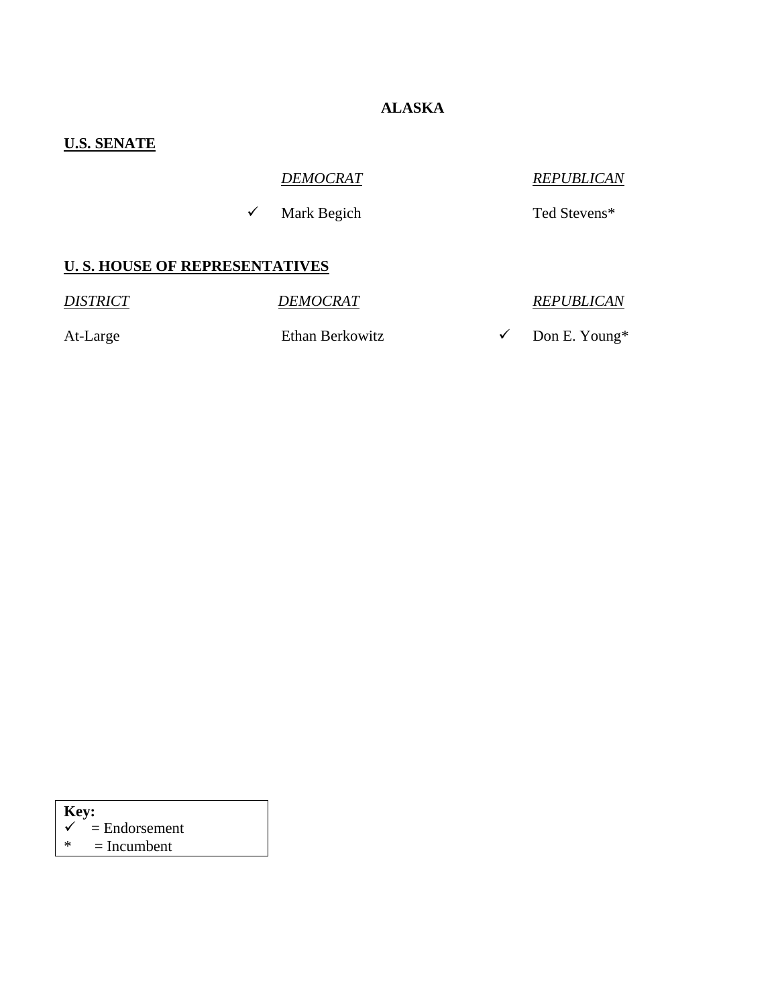## **ALASKA**

# **U.S. SENATE**

| <b>DEMOCRAT</b> | <b>REPUBLICAN</b> |
|-----------------|-------------------|
|                 |                   |

 $\checkmark$  Mark Begich Ted Stevens\*

### **U. S. HOUSE OF REPRESENTATIVES**

*DISTRICT* DEMOCRAT REPUBLICAN At-Large Ethan Berkowitz  $\checkmark$  Don E. Young\*

| <b>Key:</b> |                 |
|-------------|-----------------|
|             | $=$ Endorsement |
| ж           | $=$ Incumbent   |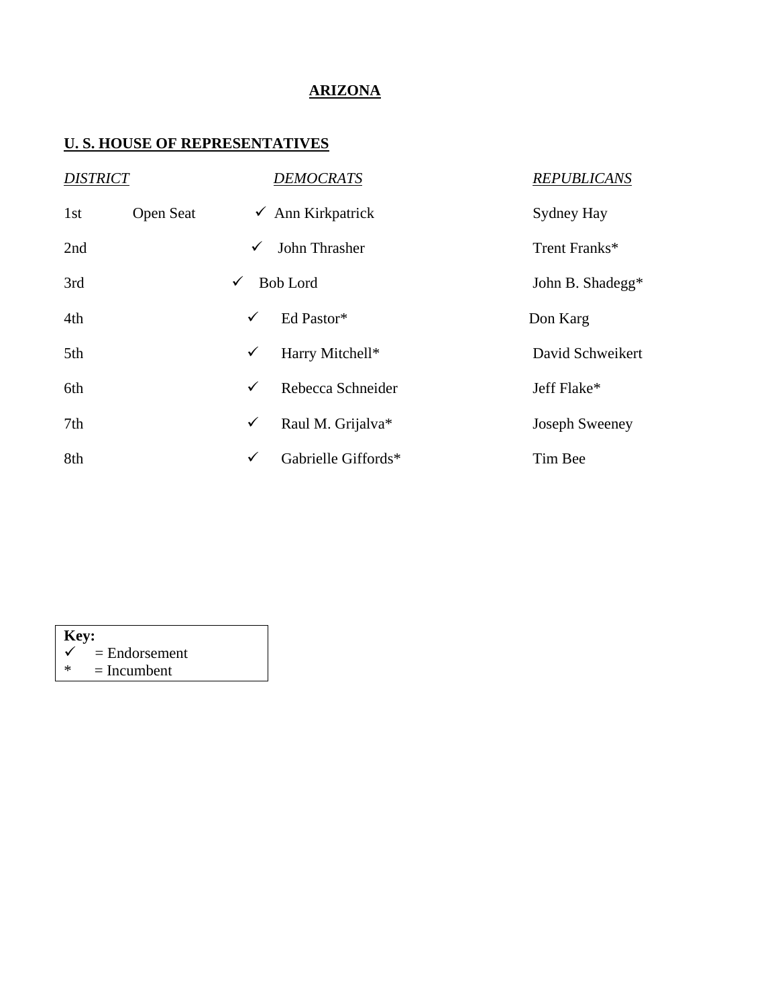## **ARIZONA**

| <b>DISTRICT</b> |                  |   | <b>DEMOCRATS</b>             | <b>REPUBLICANS</b>    |
|-----------------|------------------|---|------------------------------|-----------------------|
| 1st             | <b>Open Seat</b> |   | $\checkmark$ Ann Kirkpatrick | Sydney Hay            |
| 2nd             |                  | ✓ | John Thrasher                | Trent Franks*         |
| 3rd             |                  | ✓ | <b>Bob Lord</b>              | John B. Shadegg*      |
| 4th             |                  | ✓ | Ed Pastor*                   | Don Karg              |
| 5th             |                  | ✓ | Harry Mitchell*              | David Schweikert      |
| 6th             |                  | ✓ | Rebecca Schneider            | Jeff Flake*           |
| 7th             |                  | ✓ | Raul M. Grijalva*            | <b>Joseph Sweeney</b> |
| 8th             |                  | ✓ | Gabrielle Giffords*          | Tim Bee               |

| Key: |                            |
|------|----------------------------|
|      | $\checkmark$ = Endorsement |
| ∗    | $=$ Incumbent              |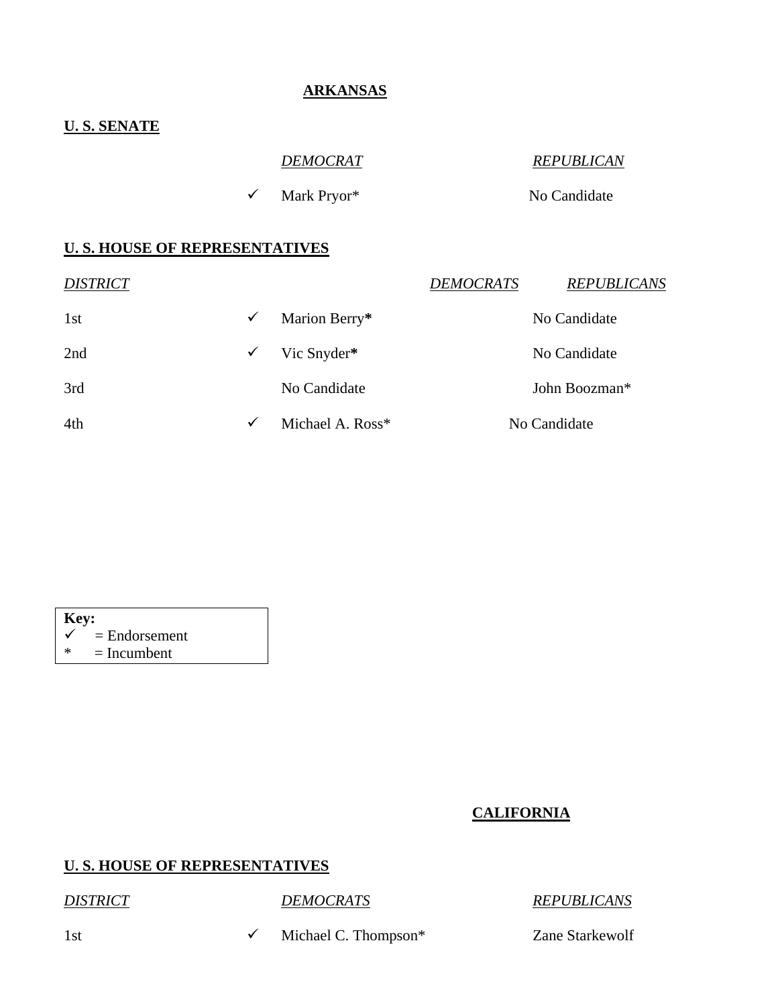#### **ARKANSAS**

#### **U. S. SENATE**

| <b>DEMOCRAT</b>                      | <b>REPUBLICAN</b> |
|--------------------------------------|-------------------|
| $\checkmark$ Mark Pryor <sup>*</sup> | No Candidate      |
|                                      |                   |

#### **U. S. HOUSE OF REPRESENTATIVES**

| <b>DISTRICT</b> |              |                  | <b>DEMOCRATS</b> | <b>REPUBLICANS</b> |
|-----------------|--------------|------------------|------------------|--------------------|
| 1st             | $\checkmark$ | Marion Berry*    |                  | No Candidate       |
| 2nd             | $\checkmark$ | Vic Snyder*      |                  | No Candidate       |
| 3rd             |              | No Candidate     |                  | John Boozman*      |
| 4th             | $\checkmark$ | Michael A. Ross* |                  | No Candidate       |
|                 |              |                  |                  |                    |



#### **CALIFORNIA**

#### **U. S. HOUSE OF REPRESENTATIVES**

*DISTRICT DEMOCRATS REPUBLICANS*

1st  $\checkmark$  Michael C. Thompson\* Zane Starkewolf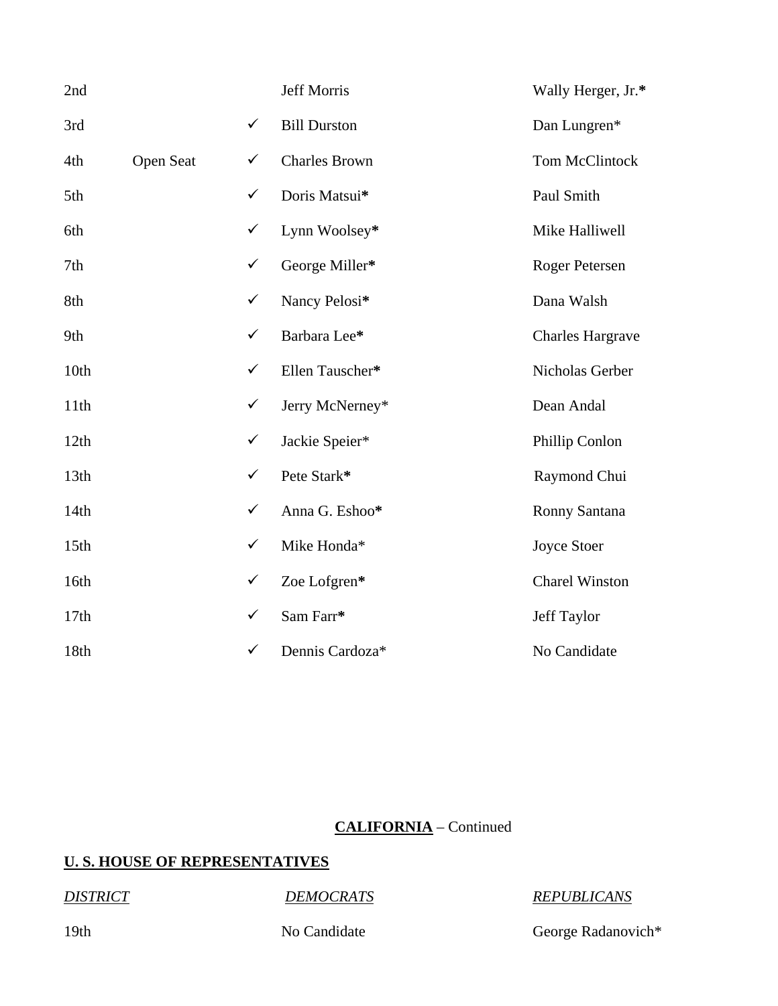| 2nd  |           |              | Jeff Morris          | Wally Herger, Jr.*      |
|------|-----------|--------------|----------------------|-------------------------|
| 3rd  |           | $\checkmark$ | <b>Bill Durston</b>  | Dan Lungren*            |
| 4th  | Open Seat | $\checkmark$ | <b>Charles Brown</b> | Tom McClintock          |
| 5th  |           | $\checkmark$ | Doris Matsui*        | Paul Smith              |
| 6th  |           | $\checkmark$ | Lynn Woolsey*        | Mike Halliwell          |
| 7th  |           | $\checkmark$ | George Miller*       | Roger Petersen          |
| 8th  |           | $\checkmark$ | Nancy Pelosi*        | Dana Walsh              |
| 9th  |           | $\checkmark$ | Barbara Lee*         | <b>Charles Hargrave</b> |
| 10th |           | $\checkmark$ | Ellen Tauscher*      | Nicholas Gerber         |
| 11th |           | $\checkmark$ | Jerry McNerney*      | Dean Andal              |
| 12th |           | $\checkmark$ | Jackie Speier*       | Phillip Conlon          |
| 13th |           | $\checkmark$ | Pete Stark*          | Raymond Chui            |
| 14th |           | $\checkmark$ | Anna G. Eshoo*       | Ronny Santana           |
| 15th |           | $\checkmark$ | Mike Honda*          | Joyce Stoer             |
| 16th |           | $\checkmark$ | Zoe Lofgren*         | <b>Charel Winston</b>   |
| 17th |           | $\checkmark$ | Sam Farr*            | Jeff Taylor             |
| 18th |           | $\checkmark$ | Dennis Cardoza*      | No Candidate            |

# **CALIFORNIA** – Continued

# **U. S. HOUSE OF REPRESENTATIVES**

### *DISTRICT DEMOCRATS REPUBLICANS*

19th No Candidate No Candidate George Radanovich\*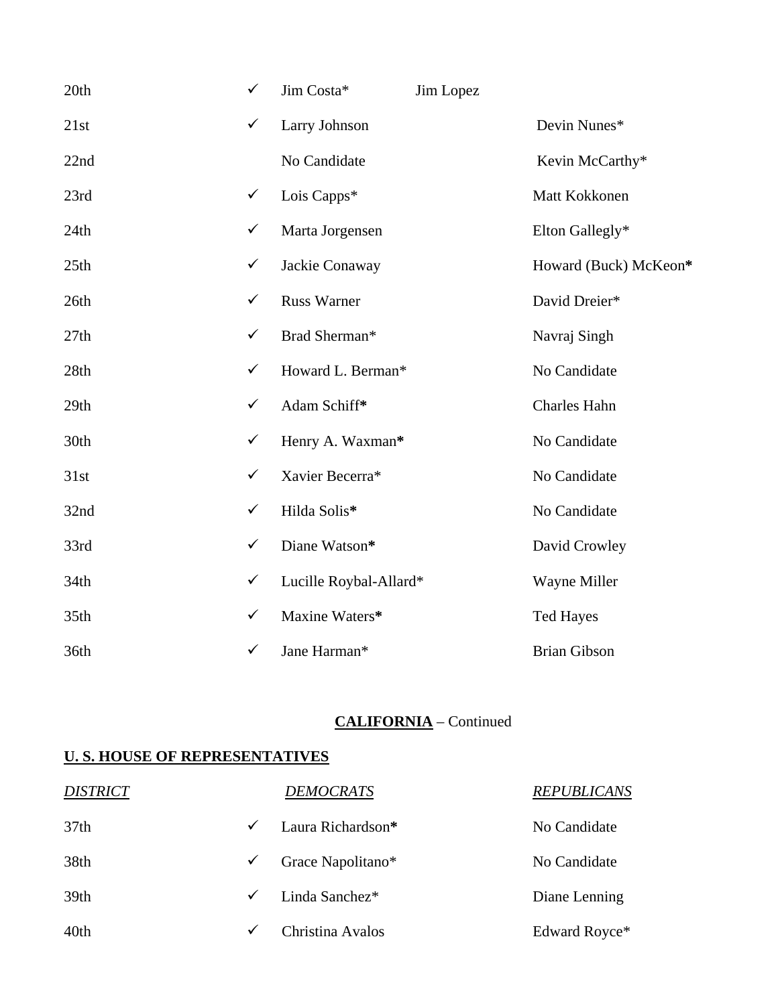| 20th             | $\checkmark$ | Jim Costa*             | Jim Lopez |                       |
|------------------|--------------|------------------------|-----------|-----------------------|
| 21st             | $\checkmark$ | Larry Johnson          |           | Devin Nunes*          |
| 22nd             |              | No Candidate           |           | Kevin McCarthy*       |
| 23rd             | $\checkmark$ | Lois Capps*            |           | Matt Kokkonen         |
| 24th             | $\checkmark$ | Marta Jorgensen        |           | Elton Gallegly*       |
| 25th             | $\checkmark$ | Jackie Conaway         |           | Howard (Buck) McKeon* |
| 26th             | $\checkmark$ | <b>Russ Warner</b>     |           | David Dreier*         |
| 27th             | $\checkmark$ | Brad Sherman*          |           | Navraj Singh          |
| 28th             | $\checkmark$ | Howard L. Berman*      |           | No Candidate          |
| 29th             | $\checkmark$ | Adam Schiff*           |           | Charles Hahn          |
| 30th             | $\checkmark$ | Henry A. Waxman*       |           | No Candidate          |
| 31st             | $\checkmark$ | Xavier Becerra*        |           | No Candidate          |
| 32nd             | $\checkmark$ | Hilda Solis*           |           | No Candidate          |
| 33rd             | $\checkmark$ | Diane Watson*          |           | David Crowley         |
| 34 <sub>th</sub> | $\checkmark$ | Lucille Roybal-Allard* |           | Wayne Miller          |
| 35th             | $\checkmark$ | Maxine Waters*         |           | <b>Ted Hayes</b>      |
| 36th             | $\checkmark$ | Jane Harman*           |           | <b>Brian Gibson</b>   |

### **CALIFORNIA** – Continued

| <b>DISTRICT</b>  |              | <b>DEMOCRATS</b>  | <b>REPUBLICANS</b> |
|------------------|--------------|-------------------|--------------------|
| 37 <sub>th</sub> | $\checkmark$ | Laura Richardson* | No Candidate       |
| 38th             | $\checkmark$ | Grace Napolitano* | No Candidate       |
| 39th             | $\checkmark$ | Linda Sanchez*    | Diane Lenning      |
| 40th             | ✓            | Christina Avalos  | Edward Royce*      |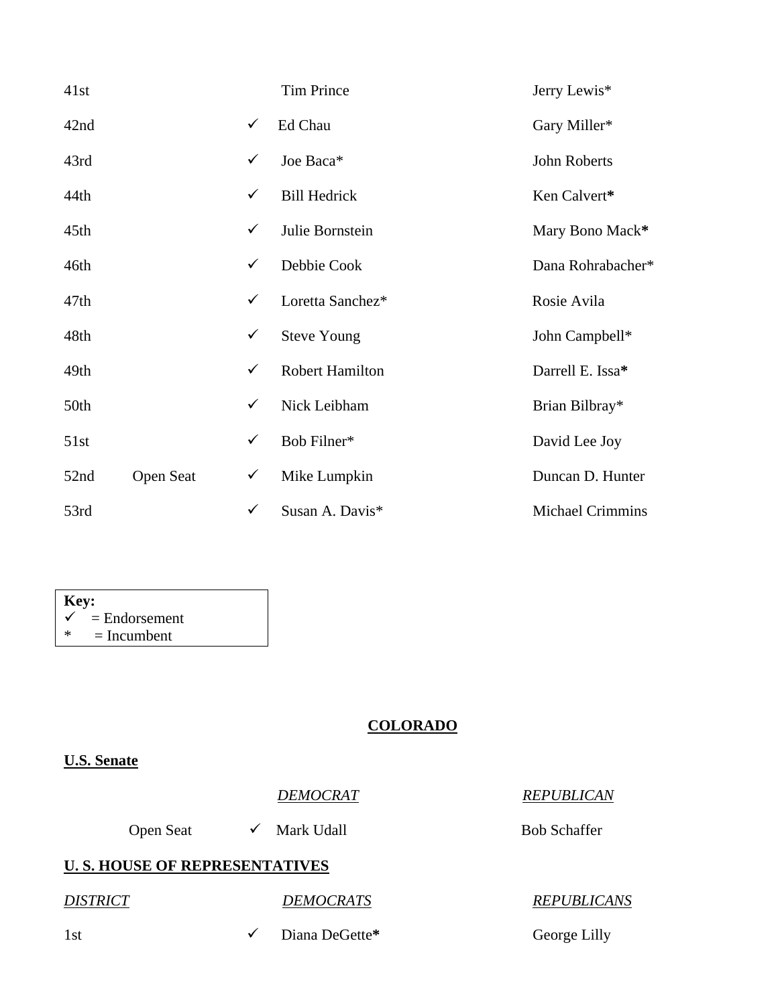| 41st             |           |              | <b>Tim Prince</b>      | Jerry Lewis*            |
|------------------|-----------|--------------|------------------------|-------------------------|
| 42nd             |           | $\checkmark$ | Ed Chau                | Gary Miller*            |
| 43rd             |           | $\checkmark$ | Joe Baca*              | John Roberts            |
| 44th             |           | $\checkmark$ | <b>Bill Hedrick</b>    | Ken Calvert*            |
| 45th             |           | $\checkmark$ | Julie Bornstein        | Mary Bono Mack*         |
| 46th             |           | $\checkmark$ | Debbie Cook            | Dana Rohrabacher*       |
| 47 <sub>th</sub> |           | $\checkmark$ | Loretta Sanchez*       | Rosie Avila             |
| 48th             |           | $\checkmark$ | <b>Steve Young</b>     | John Campbell*          |
| 49th             |           | $\checkmark$ | <b>Robert Hamilton</b> | Darrell E. Issa*        |
| 50th             |           | $\checkmark$ | Nick Leibham           | Brian Bilbray*          |
| 51st             |           | $\checkmark$ | Bob Filner*            | David Lee Joy           |
| 52nd             | Open Seat | $\checkmark$ | Mike Lumpkin           | Duncan D. Hunter        |
| 53rd             |           | $\checkmark$ | Susan A. Davis*        | <b>Michael Crimmins</b> |

| Key: |                            |  |  |  |
|------|----------------------------|--|--|--|
|      | $\checkmark$ = Endorsement |  |  |  |
| ∗    | $=$ Incumbent              |  |  |  |

#### **COLORADO**

### **U.S. Senate**

| <b>DEMOCRAT</b> | <b>REPUBLICAN</b> |
|-----------------|-------------------|
|                 |                   |

Open Seat  $\checkmark$  Mark Udall Bob Schaffer

## **U. S. HOUSE OF REPRESENTATIVES**

*DISTRICT DEMOCRATS REPUBLICANS*

1st  $\checkmark$  Diana DeGette\* George Lilly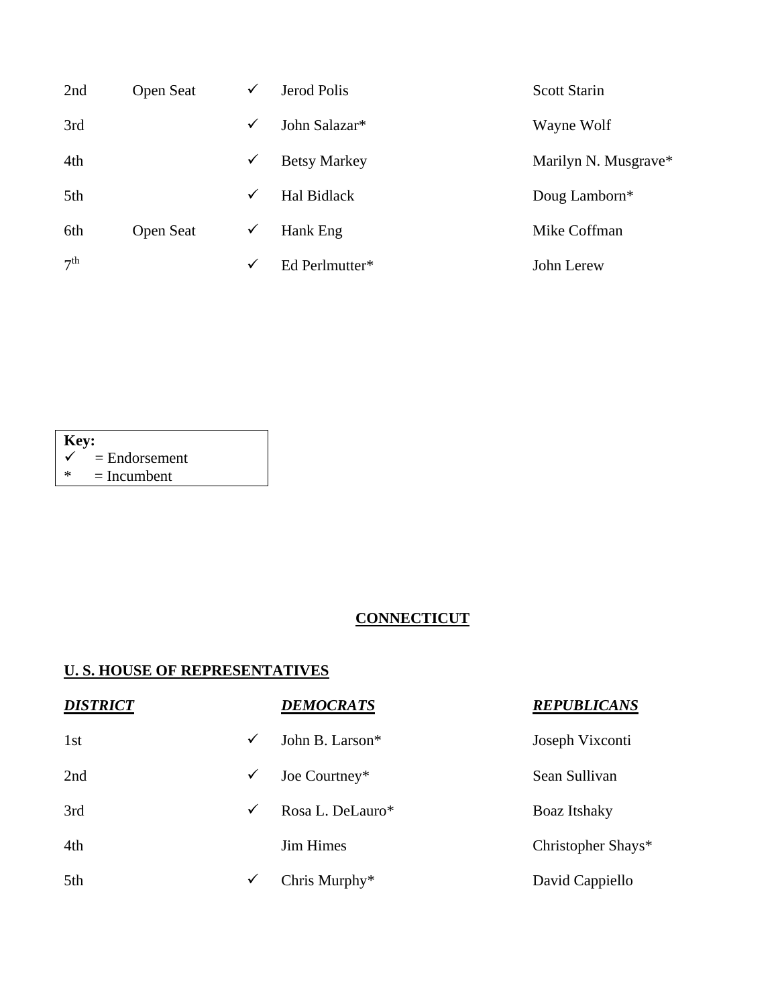| 2nd             | <b>Open Seat</b> | $\checkmark$ | Jerod Polis         | <b>Scott Starin</b>  |
|-----------------|------------------|--------------|---------------------|----------------------|
| 3rd             |                  | $\checkmark$ | John Salazar*       | Wayne Wolf           |
| 4th             |                  | $\checkmark$ | <b>Betsy Markey</b> | Marilyn N. Musgrave* |
| 5th             |                  | $\checkmark$ | <b>Hal Bidlack</b>  | Doug Lamborn*        |
| 6th             | <b>Open Seat</b> | ✓            | Hank Eng            | Mike Coffman         |
| 7 <sup>th</sup> |                  | $\checkmark$ | Ed Perlmutter*      | John Lerew           |

| Key:   |                 |  |  |  |
|--------|-----------------|--|--|--|
|        | $=$ Endorsement |  |  |  |
| $\ast$ | $=$ Incumbent   |  |  |  |

# **CONNECTICUT**

| <b>DISTRICT</b> |              | <b>DEMOCRATS</b> | <b>REPUBLICANS</b> |
|-----------------|--------------|------------------|--------------------|
| 1st             | $\checkmark$ | John B. Larson*  | Joseph Vixconti    |
| 2nd             | $\checkmark$ | Joe Courtney*    | Sean Sullivan      |
| 3rd             | ✓            | Rosa L. DeLauro* | Boaz Itshaky       |
| 4th             |              | <b>Jim Himes</b> | Christopher Shays* |
| 5th             | ✓            | Chris Murphy*    | David Cappiello    |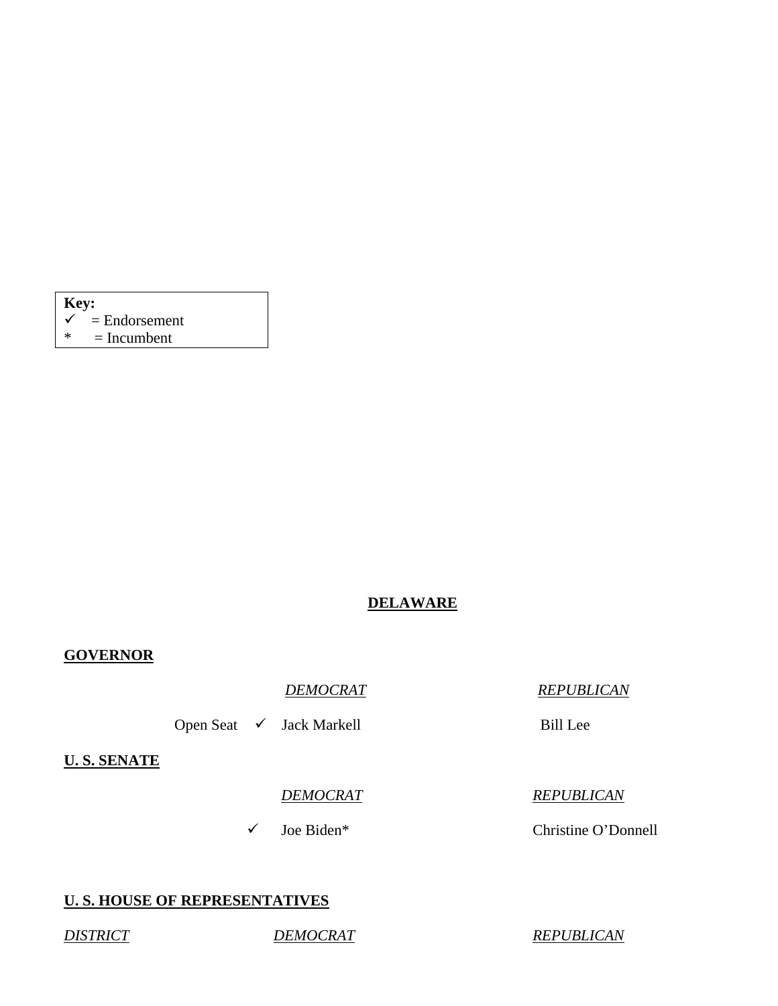| Key:         |                 |  |  |  |
|--------------|-----------------|--|--|--|
| $\checkmark$ | $=$ Endorsement |  |  |  |
| ∗            | $=$ Incumbent   |  |  |  |

## **DELAWARE**

#### **GOVERNOR**

*DEMOCRAT REPUBLICAN*

Open Seat √ Jack Markell Bill Lee

**U. S. SENATE**

#### *DEMOCRAT REPUBLICAN*

9 Joe Biden\* Christine O'Donnell

#### **U. S. HOUSE OF REPRESENTATIVES**

*DISTRICT DEMOCRAT REPUBLICAN*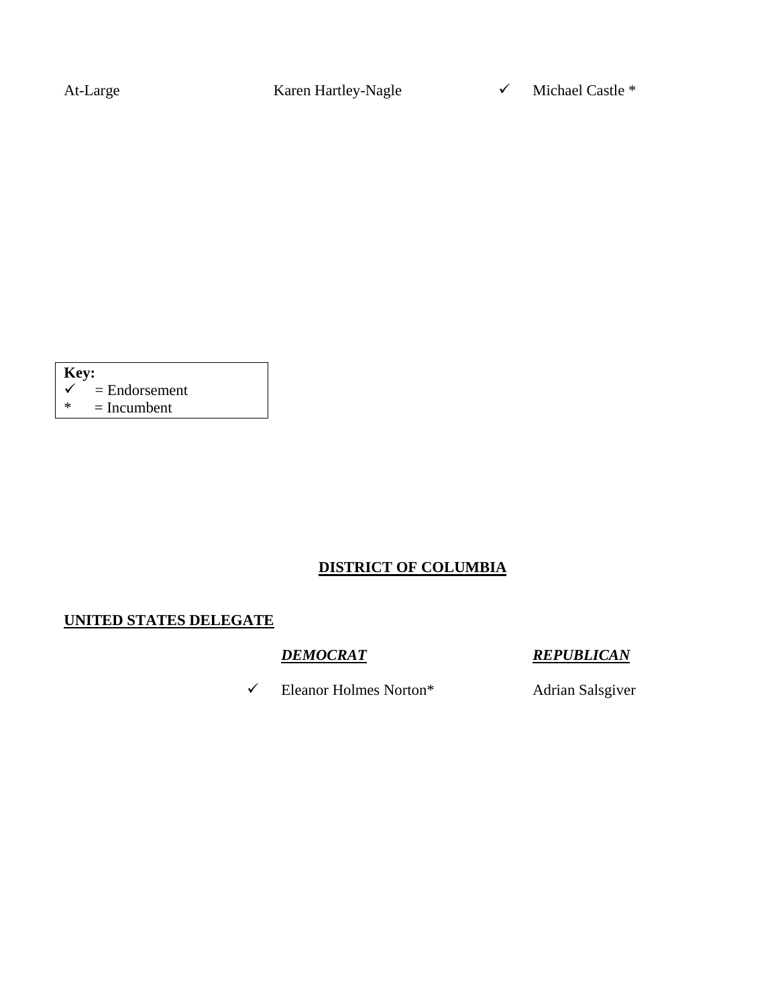At-Large Karen Hartley-Nagle  $\checkmark$  Michael Castle \*

| <b>Key:</b>  |                 |  |  |  |  |
|--------------|-----------------|--|--|--|--|
| $\checkmark$ | $=$ Endorsement |  |  |  |  |
| ∗            | $=$ Incumbent   |  |  |  |  |

# **DISTRICT OF COLUMBIA**

### **UNITED STATES DELEGATE**

9 Eleanor Holmes Norton\* Adrian Salsgiver

*DEMOCRAT REPUBLICAN*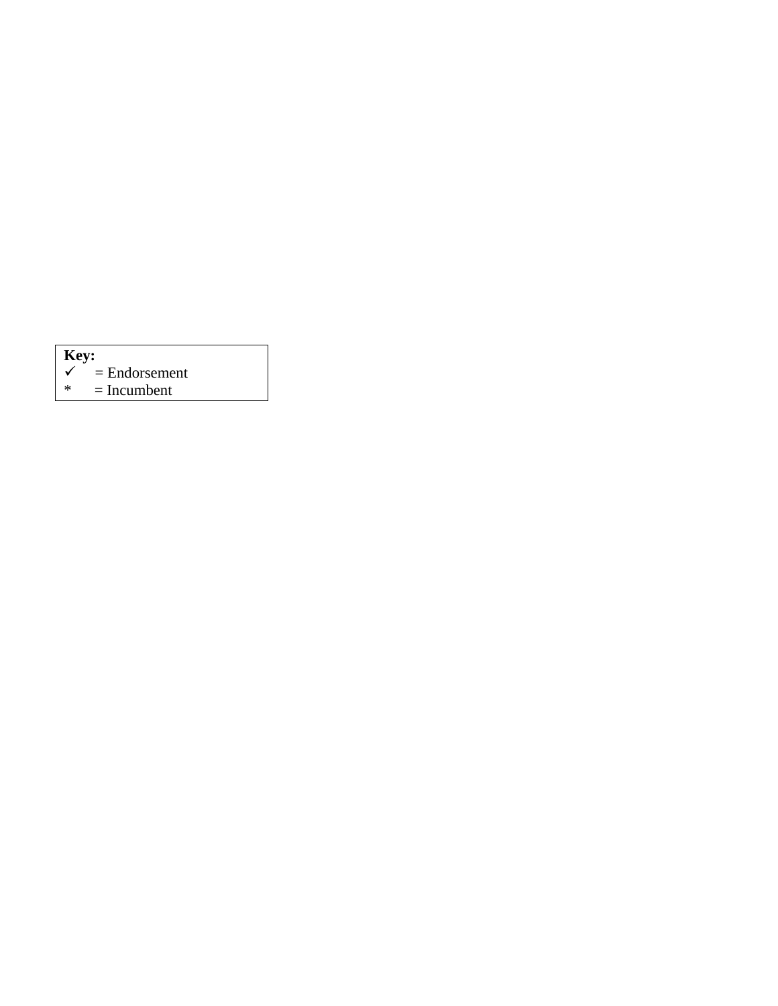| $\vert$ Key: |                 |  |  |  |  |
|--------------|-----------------|--|--|--|--|
|              | $=$ Endorsement |  |  |  |  |
| *            | $=$ Incumbent   |  |  |  |  |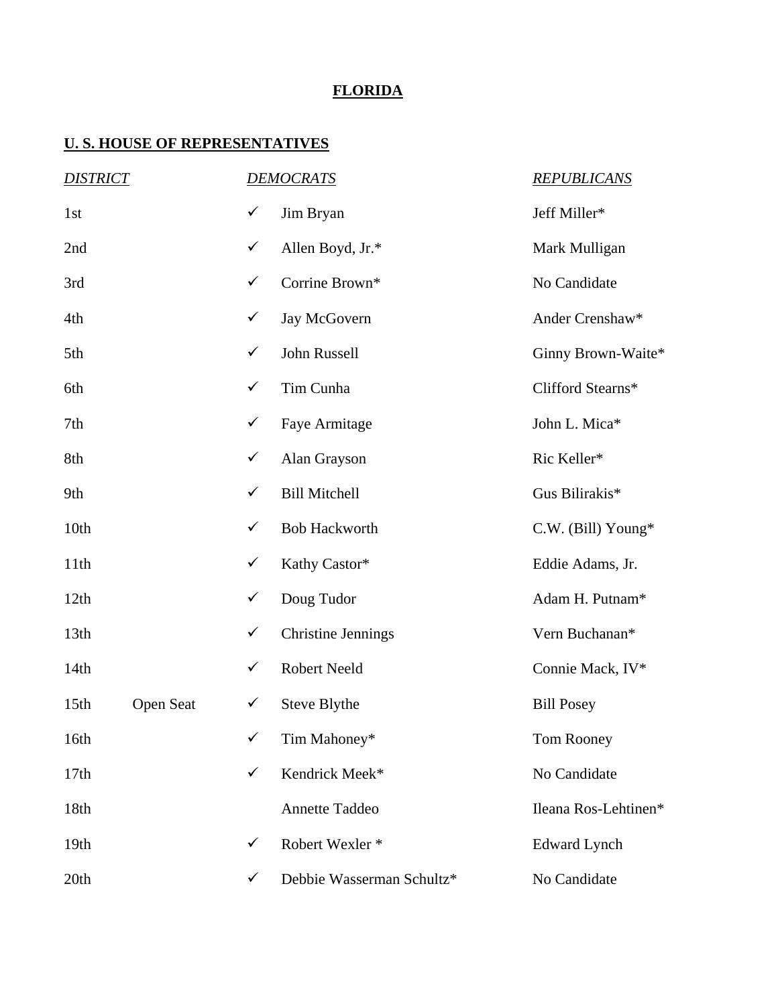## **FLORIDA**

| <b>DISTRICT</b>  |           |              | <b>DEMOCRATS</b>           | <b>REPUBLICANS</b>   |
|------------------|-----------|--------------|----------------------------|----------------------|
| 1st              |           | $\checkmark$ | Jim Bryan                  | Jeff Miller*         |
| 2nd              |           | $\checkmark$ | Allen Boyd, Jr.*           | Mark Mulligan        |
| 3rd              |           | $\checkmark$ | Corrine Brown*             | No Candidate         |
| 4th              |           | $\checkmark$ | Jay McGovern               | Ander Crenshaw*      |
| 5th              |           | $\checkmark$ | John Russell               | Ginny Brown-Waite*   |
| 6th              |           | $\checkmark$ | Tim Cunha                  | Clifford Stearns*    |
| 7th              |           | $\checkmark$ | Faye Armitage              | John L. Mica*        |
| 8th              |           | $\checkmark$ | Alan Grayson               | Ric Keller*          |
| 9th              |           | $\checkmark$ | <b>Bill Mitchell</b>       | Gus Bilirakis*       |
| 10th             |           | $\checkmark$ | <b>Bob Hackworth</b>       | C.W. (Bill) Young*   |
| 11th             |           | $\checkmark$ | Kathy Castor*              | Eddie Adams, Jr.     |
| 12th             |           | $\checkmark$ | Doug Tudor                 | Adam H. Putnam*      |
| 13 <sup>th</sup> |           | $\checkmark$ | <b>Christine Jennings</b>  | Vern Buchanan*       |
| 14th             |           | $\checkmark$ | Robert Neeld               | Connie Mack, IV*     |
| 15 <sup>th</sup> | Open Seat | $\checkmark$ | Steve Blythe               | <b>Bill Posey</b>    |
| 16th             |           | $\checkmark$ | Tim Mahoney*               | Tom Rooney           |
| 17th             |           | $\checkmark$ | Kendrick Meek*             | No Candidate         |
| 18th             |           |              | Annette Taddeo             | Ileana Ros-Lehtinen* |
| 19th             |           | $\checkmark$ | Robert Wexler <sup>*</sup> | <b>Edward Lynch</b>  |
| 20th             |           | $\checkmark$ | Debbie Wasserman Schultz*  | No Candidate         |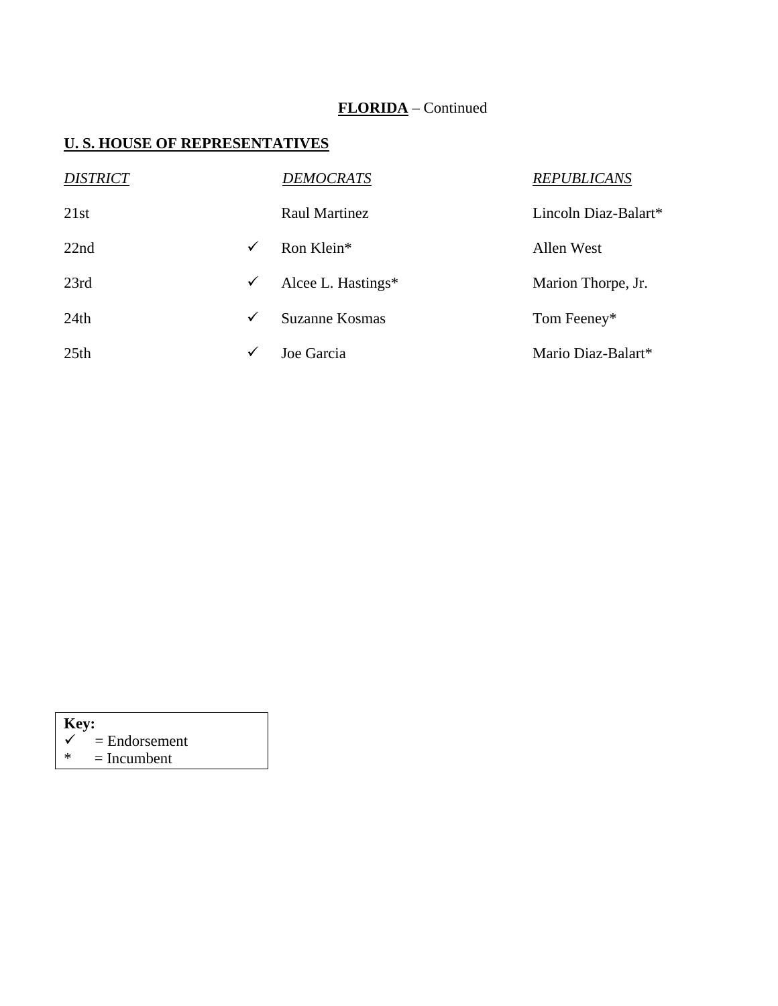# **FLORIDA** – Continued

| <b>DISTRICT</b>  |              | <b>DEMOCRATS</b>      | <b>REPUBLICANS</b>   |
|------------------|--------------|-----------------------|----------------------|
| 21st             |              | Raul Martinez         | Lincoln Diaz-Balart* |
| 22nd             | $\checkmark$ | Ron Klein*            | Allen West           |
| 23rd             | $\checkmark$ | Alcee L. Hastings $*$ | Marion Thorpe, Jr.   |
| 24th             | $\checkmark$ | Suzanne Kosmas        | Tom Feeney*          |
| 25 <sub>th</sub> | ✓            | Joe Garcia            | Mario Diaz-Balart*   |

| Key: |                 |  |  |  |  |
|------|-----------------|--|--|--|--|
|      | $=$ Endorsement |  |  |  |  |
| ж    | $=$ Incumbent   |  |  |  |  |
|      |                 |  |  |  |  |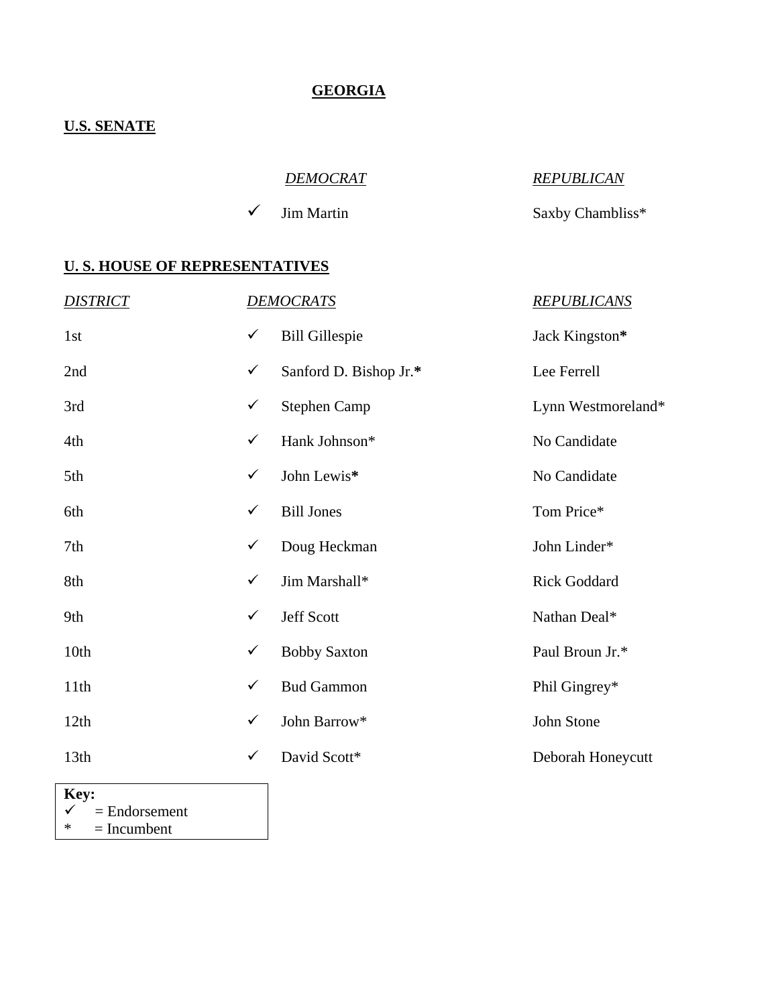## **GEORGIA**

### **U.S. SENATE**

| <i>DEMOCRAT</i>         | <b>REPUBLICAN</b> |
|-------------------------|-------------------|
| $\checkmark$ Jim Martin | Saxby Chambliss*  |

#### **U. S. HOUSE OF REPRESENTATIVES**

| <b>DISTRICT</b> |              | <b>DEMOCRATS</b>       | <b>REPUBLICANS</b>  |
|-----------------|--------------|------------------------|---------------------|
| 1st             | $\checkmark$ | <b>Bill Gillespie</b>  | Jack Kingston*      |
| 2nd             | $\checkmark$ | Sanford D. Bishop Jr.* | Lee Ferrell         |
| 3rd             | $\checkmark$ | <b>Stephen Camp</b>    | Lynn Westmoreland*  |
| 4th             | $\checkmark$ | Hank Johnson*          | No Candidate        |
| 5th             | $\checkmark$ | John Lewis*            | No Candidate        |
| 6th             | $\checkmark$ | <b>Bill Jones</b>      | Tom Price*          |
| 7th             | $\checkmark$ | Doug Heckman           | John Linder*        |
| 8th             | $\checkmark$ | Jim Marshall*          | <b>Rick Goddard</b> |
| 9th             | $\checkmark$ | Jeff Scott             | Nathan Deal*        |
| 10th            | $\checkmark$ | <b>Bobby Saxton</b>    | Paul Broun Jr.*     |
| 11th            | $\checkmark$ | <b>Bud Gammon</b>      | Phil Gingrey*       |
| 12th            | $\checkmark$ | John Barrow*           | John Stone          |
| 13th            | $\checkmark$ | David Scott*           | Deborah Honeycutt   |

**Key:** 

 $\begin{array}{rcl} \boldsymbol{\checkmark} & = \text{Endorsement} \\ \ast & = \text{Incumbent} \end{array}$  $=$  Incumbent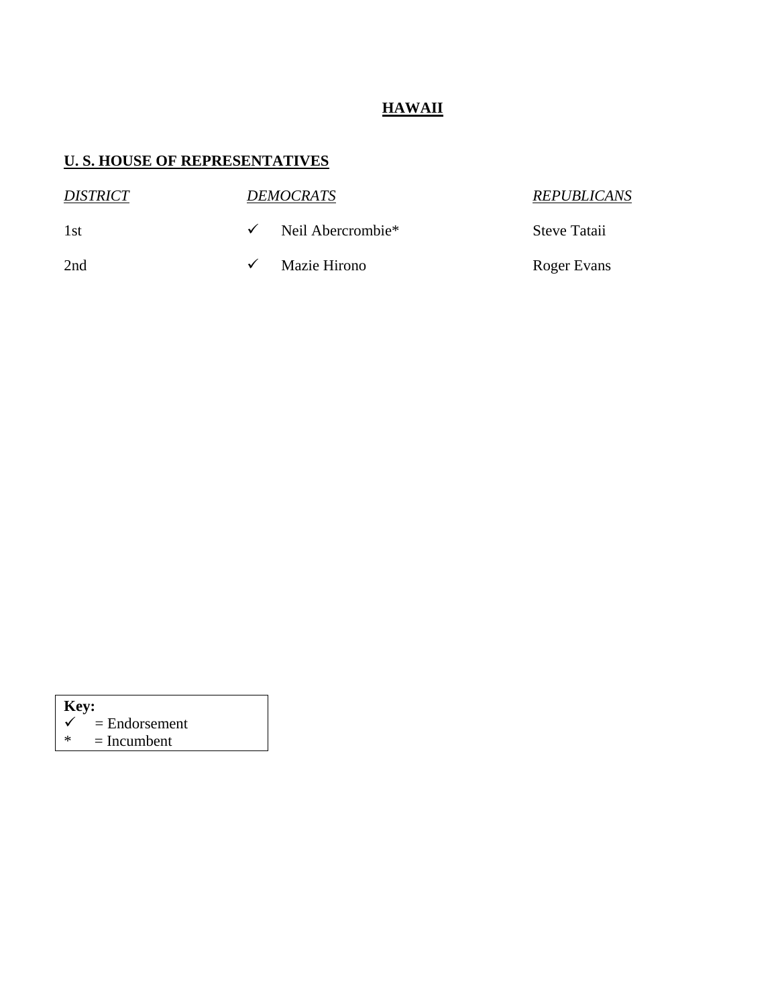# **HAWAII**

| <i>DISTRICT</i> | <i><b>DEMOCRATS</b></i> | <b>REPUBLICANS</b> |
|-----------------|-------------------------|--------------------|
| 1st             | Neil Abercrombie*       | Steve Tataii       |
| 2nd             | Mazie Hirono            | Roger Evans        |

| Key:         |                 |
|--------------|-----------------|
| $\checkmark$ | $=$ Endorsement |
| ж            | $=$ Incumbent   |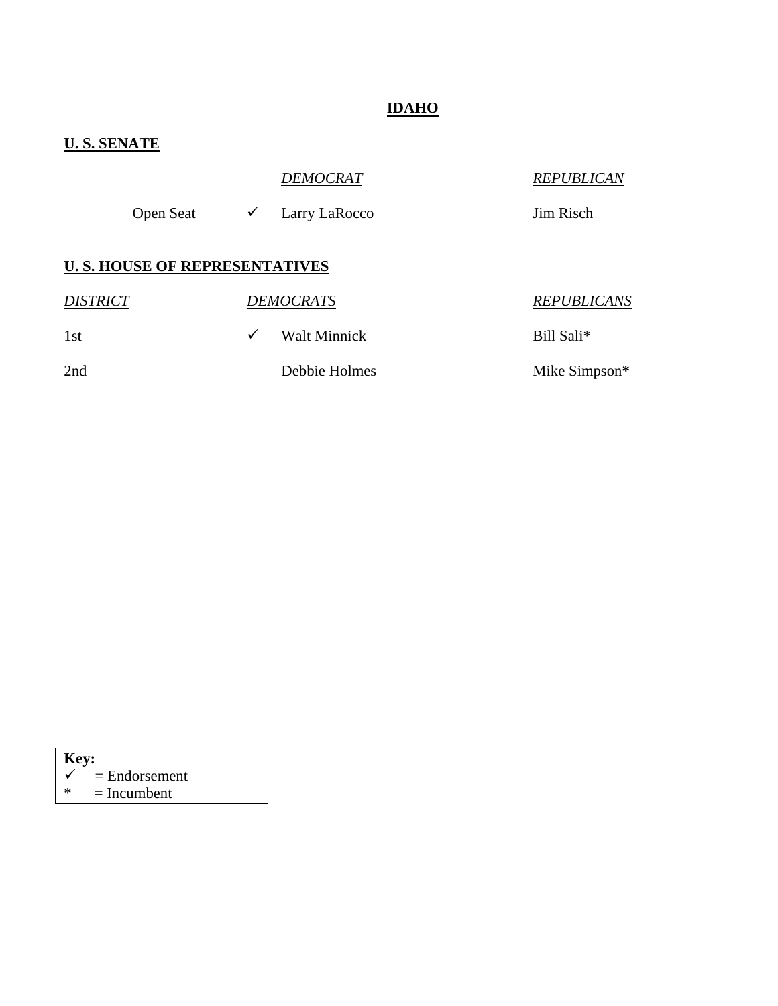# **IDAHO**

# **U. S. SENATE**

|                 |                                      | <b>DEMOCRAT</b>  | <b>REPUBLICAN</b>  |
|-----------------|--------------------------------------|------------------|--------------------|
|                 | <b>Open Seat</b><br>$\checkmark$     | Larry LaRocco    | Jim Risch          |
|                 | <b>U.S. HOUSE OF REPRESENTATIVES</b> |                  |                    |
| <b>DISTRICT</b> |                                      | <b>DEMOCRATS</b> | <b>REPUBLICANS</b> |
| 1st             | ✓                                    | Walt Minnick     | Bill Sali*         |
| 2nd             |                                      | Debbie Holmes    | Mike Simpson*      |

| <b>Key:</b> |                 |
|-------------|-----------------|
|             | $=$ Endorsement |
| ж           | $=$ Incumbent   |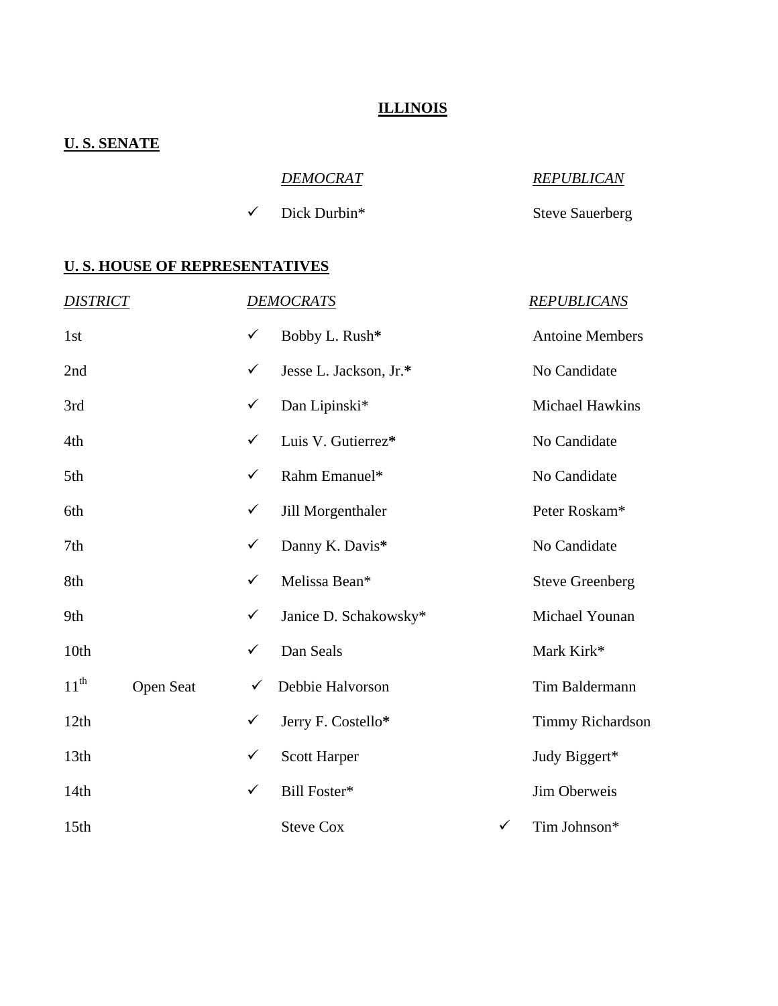### **ILLINOIS**

### **U. S. SENATE**

| <b>DEMOCRAT</b>           | <b>REPUBLICAN</b>      |
|---------------------------|------------------------|
| $\checkmark$ Dick Durbin* | <b>Steve Sauerberg</b> |

| <b>DISTRICT</b>  |           |              | <b>DEMOCRATS</b>       |              | <b>REPUBLICANS</b>     |
|------------------|-----------|--------------|------------------------|--------------|------------------------|
| 1st              |           | $\checkmark$ | Bobby L. Rush*         |              | <b>Antoine Members</b> |
| 2nd              |           | $\checkmark$ | Jesse L. Jackson, Jr.* |              | No Candidate           |
| 3rd              |           | $\checkmark$ | Dan Lipinski*          |              | Michael Hawkins        |
| 4th              |           | $\checkmark$ | Luis V. Gutierrez*     |              | No Candidate           |
| 5th              |           | $\checkmark$ | Rahm Emanuel*          |              | No Candidate           |
| 6th              |           | $\checkmark$ | Jill Morgenthaler      |              | Peter Roskam*          |
| 7th              |           | $\checkmark$ | Danny K. Davis*        |              | No Candidate           |
| 8th              |           | $\checkmark$ | Melissa Bean*          |              | <b>Steve Greenberg</b> |
| 9th              |           | $\checkmark$ | Janice D. Schakowsky*  |              | Michael Younan         |
| 10th             |           | $\checkmark$ | Dan Seals              |              | Mark Kirk*             |
| $11^{th}$        | Open Seat | ✓            | Debbie Halvorson       |              | Tim Baldermann         |
| 12th             |           | $\checkmark$ | Jerry F. Costello*     |              | Timmy Richardson       |
| 13th             |           | $\checkmark$ | <b>Scott Harper</b>    |              | Judy Biggert*          |
| 14th             |           | $\checkmark$ | Bill Foster*           |              | Jim Oberweis           |
| 15 <sub>th</sub> |           |              | <b>Steve Cox</b>       | $\checkmark$ | Tim Johnson*           |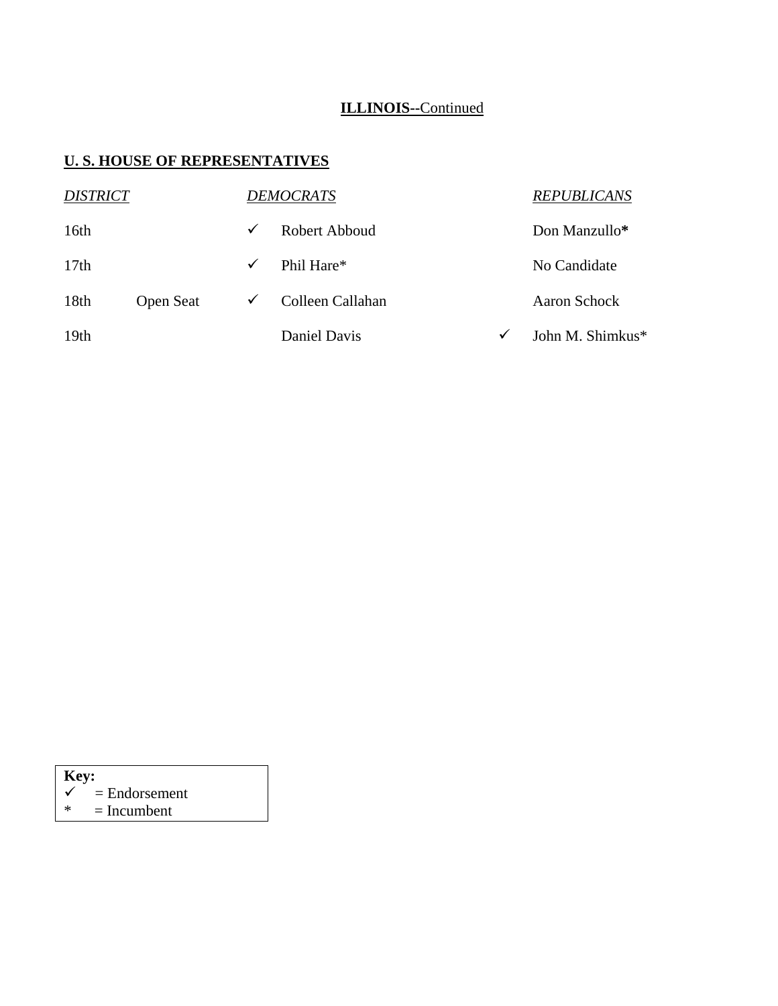# **ILLINOIS--**Continued

### **U. S. HOUSE OF REPRESENTATIVES**

| <b>DISTRICT</b>  |                  |              | <b>DEMOCRATS</b> |              | <b>REPUBLICANS</b> |
|------------------|------------------|--------------|------------------|--------------|--------------------|
| 16th             |                  | $\checkmark$ | Robert Abboud    |              | Don Manzullo*      |
| 17th             |                  | $\checkmark$ | Phil Hare*       |              | No Candidate       |
| 18th             | <b>Open Seat</b> | $\checkmark$ | Colleen Callahan |              | Aaron Schock       |
| 19 <sub>th</sub> |                  |              | Daniel Davis     | $\checkmark$ | John M. Shimkus*   |

 $\begin{array}{rcl} \boldsymbol{\checkmark} & = \text{Endorsement} \\ \ast & = \text{Incumbent} \end{array}$ 

 $=$  Incumbent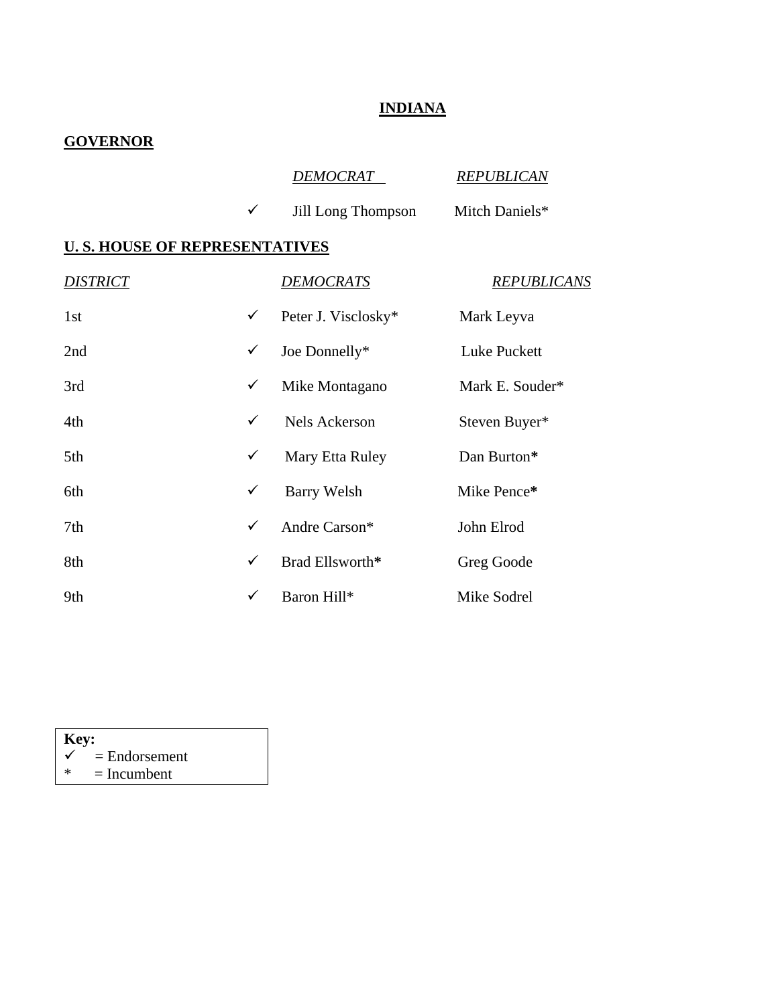# **INDIANA**

# **GOVERNOR**

|                                      |              | <u>DEMOCRAT_</u>    | <b>REPUBLICAN</b>  |
|--------------------------------------|--------------|---------------------|--------------------|
|                                      | $\checkmark$ | Jill Long Thompson  | Mitch Daniels*     |
| <u>U.S. HOUSE OF REPRESENTATIVES</u> |              |                     |                    |
| <i><b>DISTRICT</b></i>               |              | <b>DEMOCRATS</b>    | <b>REPUBLICANS</b> |
| 1st                                  | $\checkmark$ | Peter J. Visclosky* | Mark Leyva         |
| 2nd                                  | $\checkmark$ | Joe Donnelly*       | Luke Puckett       |
| 3rd                                  | $\checkmark$ | Mike Montagano      | Mark E. Souder*    |
| 4th                                  | ✓            | Nels Ackerson       | Steven Buyer*      |
| 5th                                  | ✓            | Mary Etta Ruley     | Dan Burton*        |
| 6th                                  | $\checkmark$ | Barry Welsh         | Mike Pence*        |
| 7th                                  | $\checkmark$ | Andre Carson*       | John Elrod         |
| 8th                                  | $\checkmark$ | Brad Ellsworth*     | Greg Goode         |
| 9th                                  | $\checkmark$ | Baron Hill*         | Mike Sodrel        |

| Key: |                 |
|------|-----------------|
|      | $=$ Endorsement |
| ж    | $=$ Incumbent   |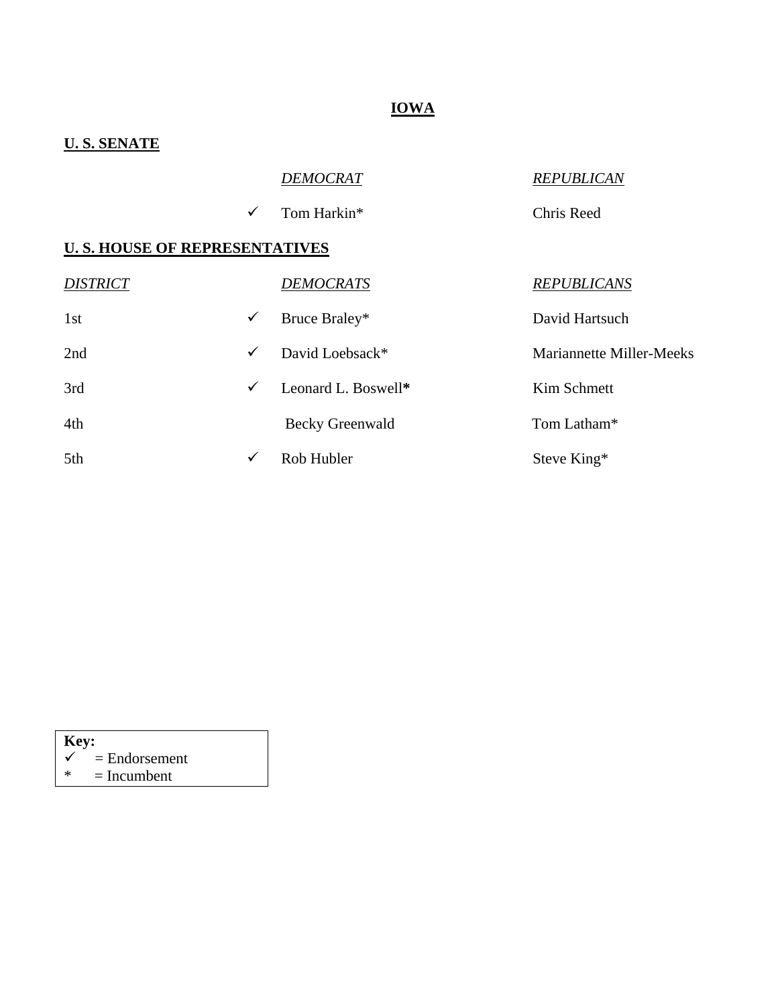# **IOWA**

# **U. S. SENATE**

# *DEMOCRAT REPUBLICAN*

9 Tom Harkin\* Chris Reed

### **U. S. HOUSE OF REPRESENTATIVES**

| <b>DISTRICT</b> |              | <b>DEMOCRATS</b>       | <b>REPUBLICANS</b>              |
|-----------------|--------------|------------------------|---------------------------------|
| 1st             | $\checkmark$ | Bruce Braley*          | David Hartsuch                  |
| 2nd             | $\checkmark$ | David Loebsack*        | <b>Mariannette Miller-Meeks</b> |
| 3rd             | $\checkmark$ | Leonard L. Boswell*    | Kim Schmett                     |
| 4th             |              | <b>Becky Greenwald</b> | Tom Latham*                     |
| 5th             | ✓            | Rob Hubler             | Steve King*                     |

| Key: |                 |  |
|------|-----------------|--|
| ✓    | $=$ Endorsement |  |

 $* = Incumbent$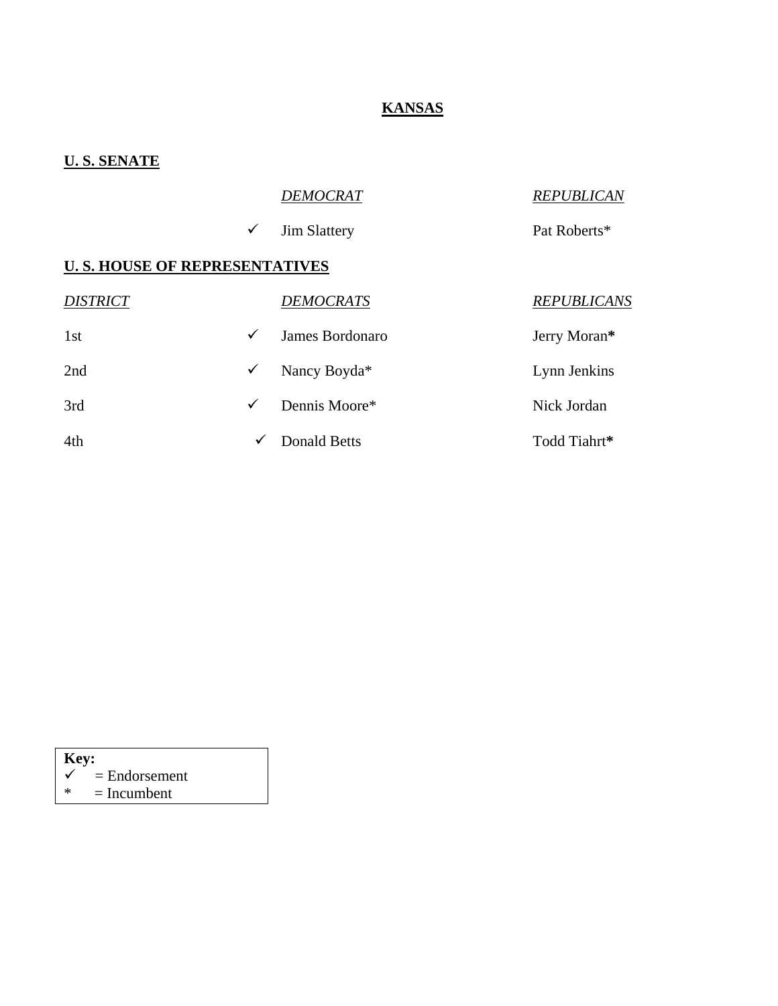# **KANSAS**

### **U. S. SENATE**

|                                      |              | <b>DEMOCRAT</b>     | <b>REPUBLICAN</b>  |
|--------------------------------------|--------------|---------------------|--------------------|
|                                      | $\checkmark$ | <b>Jim Slattery</b> | Pat Roberts*       |
| <b>U.S. HOUSE OF REPRESENTATIVES</b> |              |                     |                    |
| <b>DISTRICT</b>                      |              | <b>DEMOCRATS</b>    | <b>REPUBLICANS</b> |
| 1st                                  | ✓            | James Bordonaro     | Jerry Moran*       |
| 2nd                                  | ✓            | Nancy Boyda*        | Lynn Jenkins       |
| 3rd                                  | ✓            | Dennis Moore*       | Nick Jordan        |
| 4th                                  | ✓            | <b>Donald Betts</b> | Todd Tiahrt*       |

| Key:   |                            |  |  |  |  |
|--------|----------------------------|--|--|--|--|
|        | $\checkmark$ = Endorsement |  |  |  |  |
| $\ast$ | $=$ Incumbent              |  |  |  |  |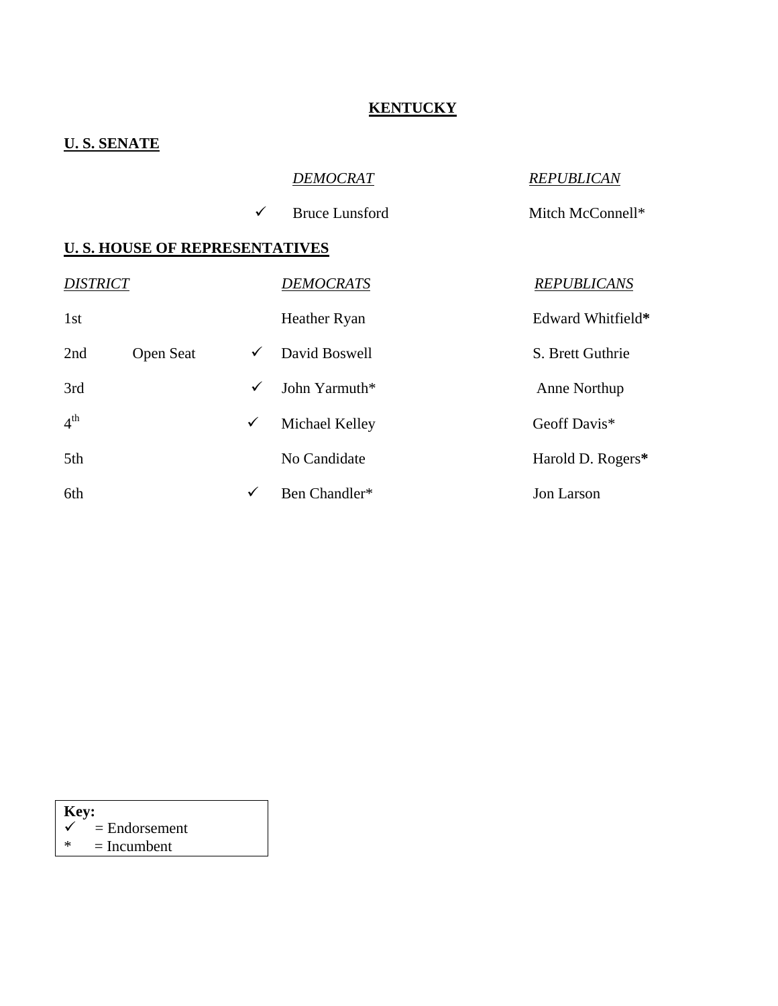### **KENTUCKY**

### **U. S. SENATE**

| <b>DEMOCRAT</b> |  |
|-----------------|--|

 $\checkmark$  Bruce Lunsford Mitch McConnell\*

# *DEMOCRAT REPUBLICAN*

| <b>DISTRICT</b> |                  |              | <b>DEMOCRATS</b> | <b>REPUBLICANS</b> |
|-----------------|------------------|--------------|------------------|--------------------|
| 1st             |                  |              | Heather Ryan     | Edward Whitfield*  |
| 2nd             | <b>Open Seat</b> | ✓            | David Boswell    | S. Brett Guthrie   |
| 3rd             |                  | ✓            | John Yarmuth*    | Anne Northup       |
| 4 <sup>th</sup> |                  | $\checkmark$ | Michael Kelley   | Geoff Davis*       |
| 5th             |                  |              | No Candidate     | Harold D. Rogers*  |
| 6th             |                  | $\checkmark$ | Ben Chandler*    | Jon Larson         |

| Key: |                 |  |  |  |  |
|------|-----------------|--|--|--|--|
| ✓    | $=$ Endorsement |  |  |  |  |
| ж    | $=$ Incumbent   |  |  |  |  |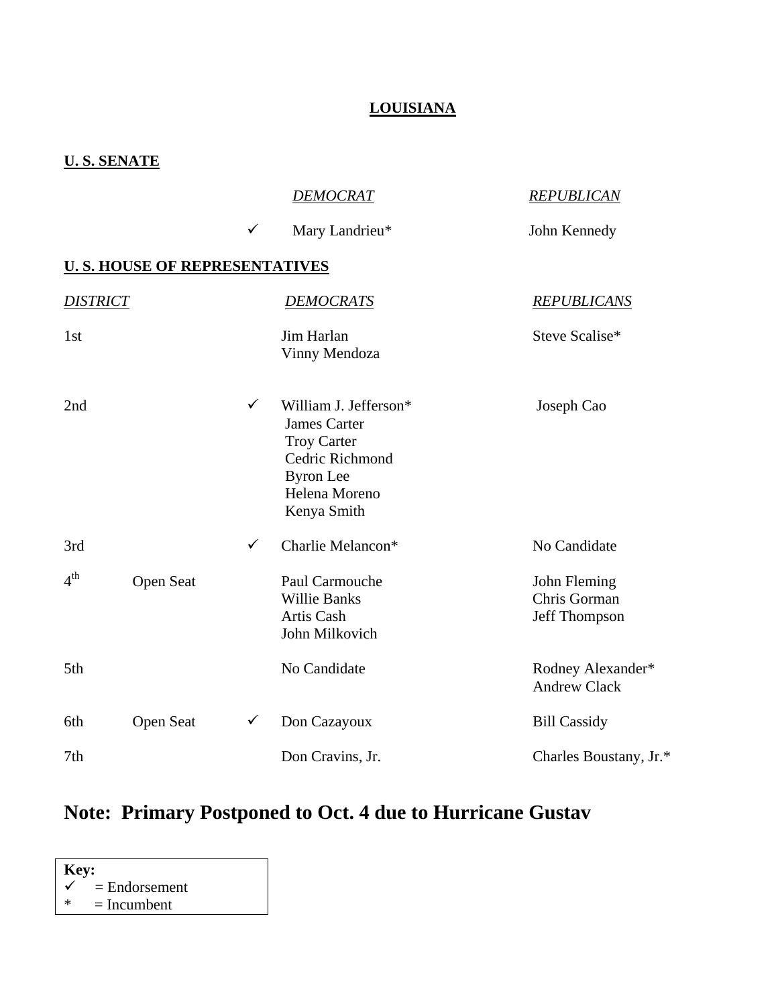# **LOUISIANA**

### **U. S. SENATE**

|                 |                                       |              | <b>DEMOCRAT</b>                                                                                                                           | <b>REPUBLICAN</b>                             |
|-----------------|---------------------------------------|--------------|-------------------------------------------------------------------------------------------------------------------------------------------|-----------------------------------------------|
|                 |                                       | $\checkmark$ | Mary Landrieu*                                                                                                                            | John Kennedy                                  |
|                 | <b>U. S. HOUSE OF REPRESENTATIVES</b> |              |                                                                                                                                           |                                               |
| <b>DISTRICT</b> |                                       |              | <b>DEMOCRATS</b>                                                                                                                          | <b>REPUBLICANS</b>                            |
| 1st             |                                       |              | Jim Harlan<br>Vinny Mendoza                                                                                                               | Steve Scalise*                                |
| 2nd             |                                       | $\checkmark$ | William J. Jefferson*<br><b>James Carter</b><br><b>Troy Carter</b><br>Cedric Richmond<br><b>Byron</b> Lee<br>Helena Moreno<br>Kenya Smith | Joseph Cao                                    |
| 3rd             |                                       | $\checkmark$ | Charlie Melancon*                                                                                                                         | No Candidate                                  |
| 4 <sup>th</sup> | Open Seat                             |              | Paul Carmouche<br><b>Willie Banks</b><br>Artis Cash<br>John Milkovich                                                                     | John Fleming<br>Chris Gorman<br>Jeff Thompson |
| 5th             |                                       |              | No Candidate                                                                                                                              | Rodney Alexander*<br><b>Andrew Clack</b>      |
| 6th             | <b>Open Seat</b>                      | $\checkmark$ | Don Cazayoux                                                                                                                              | <b>Bill Cassidy</b>                           |
| 7th             |                                       |              | Don Cravins, Jr.                                                                                                                          | Charles Boustany, Jr.*                        |

# **Note: Primary Postponed to Oct. 4 due to Hurricane Gustav**

| Key: |                 |  |  |  |  |
|------|-----------------|--|--|--|--|
| ✓    | $=$ Endorsement |  |  |  |  |
| ж    | $=$ Incumbent   |  |  |  |  |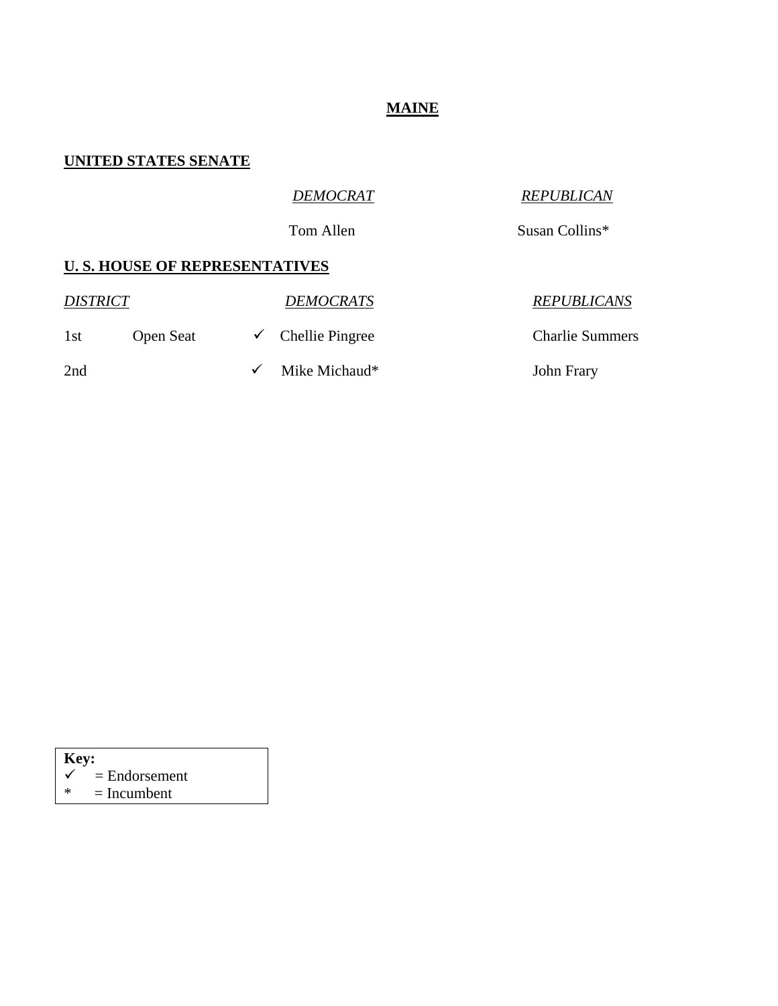#### **MAINE**

#### **UNITED STATES SENATE**

### *DEMOCRAT REPUBLICAN*

Tom Allen Susan Collins\*

| <i><b>DISTRICT</b></i> |                  | <b>DEMOCRATS</b>             | <b>REPUBLICANS</b>     |
|------------------------|------------------|------------------------------|------------------------|
| 1st                    | <b>Open Seat</b> | $\checkmark$ Chellie Pingree | <b>Charlie Summers</b> |
| 2nd                    |                  | Mike Michaud*                | John Frary             |

| Key:   |                 |
|--------|-----------------|
|        | $=$ Endorsement |
| $\ast$ | $=$ Incumbent   |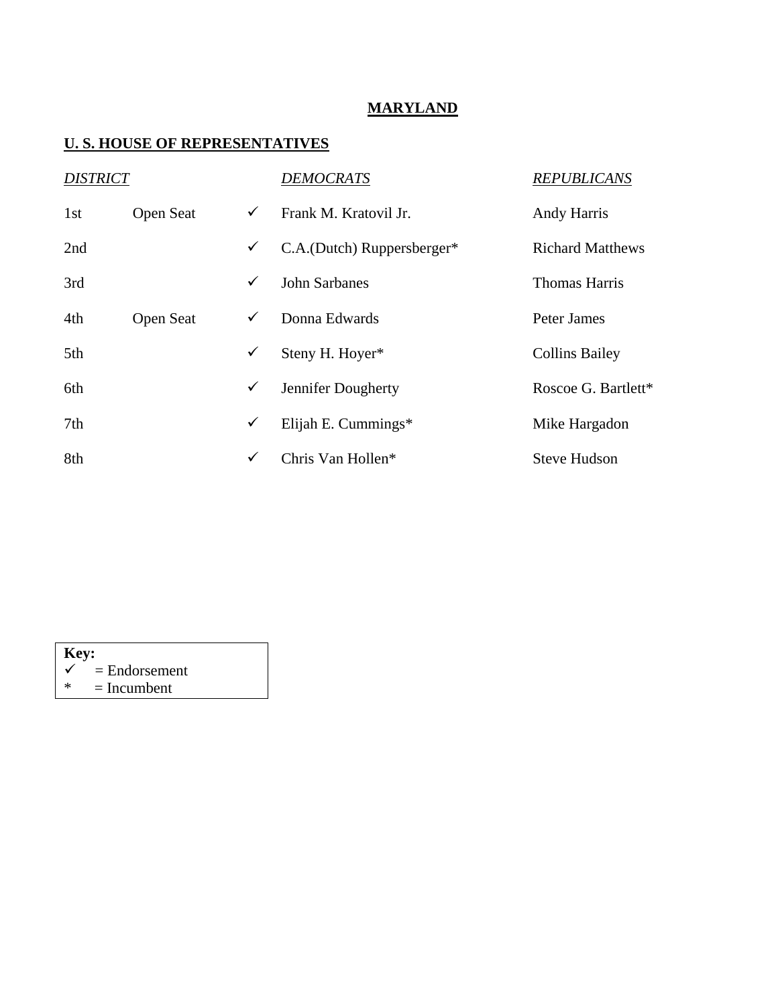#### **MARYLAND**

| <b>DISTRICT</b> |           |              | <b>DEMOCRATS</b>           | <b>REPUBLICANS</b>      |
|-----------------|-----------|--------------|----------------------------|-------------------------|
| 1st             | Open Seat | $\checkmark$ | Frank M. Kratovil Jr.      | <b>Andy Harris</b>      |
| 2nd             |           | $\checkmark$ | C.A.(Dutch) Ruppersberger* | <b>Richard Matthews</b> |
| 3rd             |           | $\checkmark$ | <b>John Sarbanes</b>       | <b>Thomas Harris</b>    |
| 4th             | Open Seat | $\checkmark$ | Donna Edwards              | Peter James             |
| 5th             |           | $\checkmark$ | Steny H. Hoyer*            | <b>Collins Bailey</b>   |
| 6th             |           | $\checkmark$ | Jennifer Dougherty         | Roscoe G. Bartlett*     |
| 7th             |           | $\checkmark$ | Elijah E. Cummings*        | Mike Hargadon           |
| 8th             |           | ✓            | Chris Van Hollen*          | <b>Steve Hudson</b>     |

| Key: |                            |  |  |  |
|------|----------------------------|--|--|--|
|      | $\checkmark$ = Endorsement |  |  |  |
| ∗    | $=$ Incumbent              |  |  |  |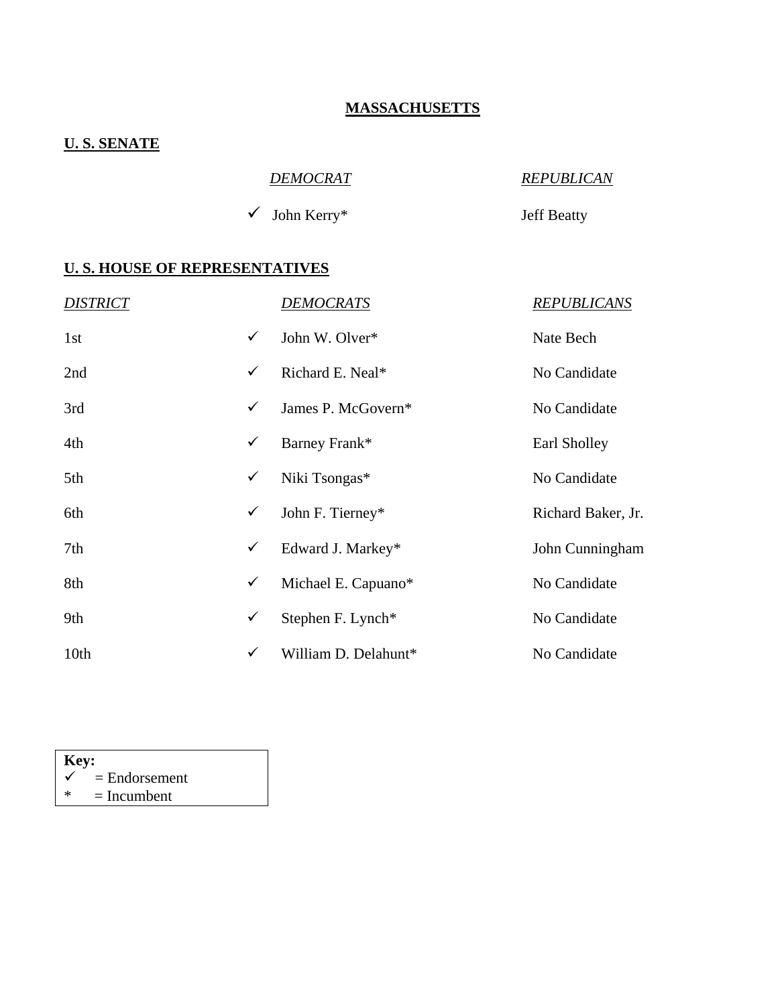### **MASSACHUSETTS**

# **U. S. SENATE**

| DEMOCRAT                 | <b>REPUBLICAN</b>  |
|--------------------------|--------------------|
| $\checkmark$ John Kerry* | <b>Jeff Beatty</b> |

| <b>DISTRICT</b> |   | <u>DEMOCRATS</u>     | <b>REPUBLICANS</b> |
|-----------------|---|----------------------|--------------------|
| 1st             | ✓ | John W. Olver*       | Nate Bech          |
| 2nd             | ✓ | Richard E. Neal*     | No Candidate       |
| 3rd             | ✓ | James P. McGovern*   | No Candidate       |
| 4th             | ✓ | Barney Frank*        | Earl Sholley       |
| 5th             | ✓ | Niki Tsongas*        | No Candidate       |
| 6th             | ✓ | John F. Tierney*     | Richard Baker, Jr. |
| 7th             | ✓ | Edward J. Markey*    | John Cunningham    |
| 8th             | ✓ | Michael E. Capuano*  | No Candidate       |
| 9th             | ✓ | Stephen F. Lynch*    | No Candidate       |
| 10th            | ✓ | William D. Delahunt* | No Candidate       |

| Key:         |                 |  |  |  |
|--------------|-----------------|--|--|--|
| $\checkmark$ | $=$ Endorsement |  |  |  |
| ∗            | $=$ Incumbent   |  |  |  |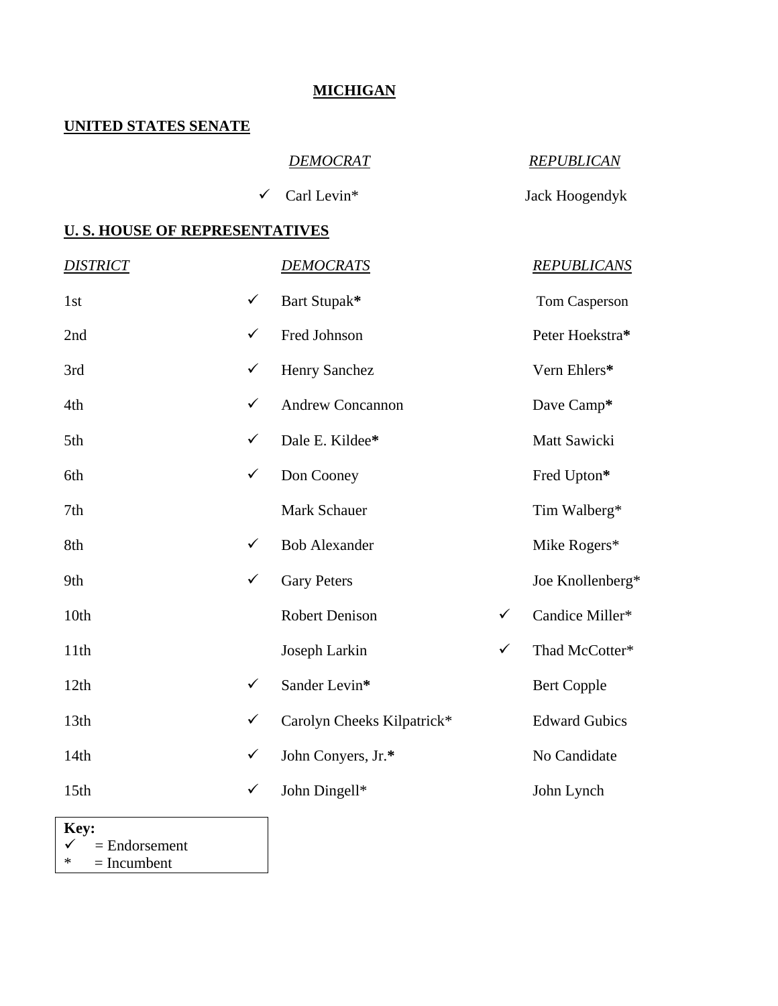### **MICHIGAN**

#### **UNITED STATES SENATE**

#### *DEMOCRAT REPUBLICAN*

9 Carl Levin\* Jack Hoogendyk

#### **U. S. HOUSE OF REPRESENTATIVES**

| <b>DISTRICT</b>  |              | <b>DEMOCRATS</b>           |              | <b>REPUBLICANS</b>   |
|------------------|--------------|----------------------------|--------------|----------------------|
| 1st              | $\checkmark$ | Bart Stupak*               |              | Tom Casperson        |
| 2nd              | $\checkmark$ | Fred Johnson               |              | Peter Hoekstra*      |
| 3rd              | $\checkmark$ | Henry Sanchez              |              | Vern Ehlers*         |
| 4th              | $\checkmark$ | <b>Andrew Concannon</b>    |              | Dave Camp*           |
| 5th              | $\checkmark$ | Dale E. Kildee*            |              | Matt Sawicki         |
| 6th              | $\checkmark$ | Don Cooney                 |              | Fred Upton*          |
| 7th              |              | Mark Schauer               |              | Tim Walberg*         |
| 8th              | $\checkmark$ | <b>Bob Alexander</b>       |              | Mike Rogers*         |
| 9th              | $\checkmark$ | <b>Gary Peters</b>         |              | Joe Knollenberg*     |
| 10th             |              | <b>Robert Denison</b>      | $\checkmark$ | Candice Miller*      |
| 11th             |              | Joseph Larkin              | $\checkmark$ | Thad McCotter*       |
| 12th             | $\checkmark$ | Sander Levin*              |              | <b>Bert Copple</b>   |
| 13th             | $\checkmark$ | Carolyn Cheeks Kilpatrick* |              | <b>Edward Gubics</b> |
| 14th             | $\checkmark$ | John Conyers, Jr.*         |              | No Candidate         |
| 15 <sub>th</sub> | ✓            | John Dingell*              |              | John Lynch           |
|                  |              |                            |              |                      |

**Key:**   $\begin{array}{rcl} \n\checkmark & = \text{Endorsement} \\ \n\text{*} & = \text{Incumbent} \n\end{array}$  $=$  Incumbent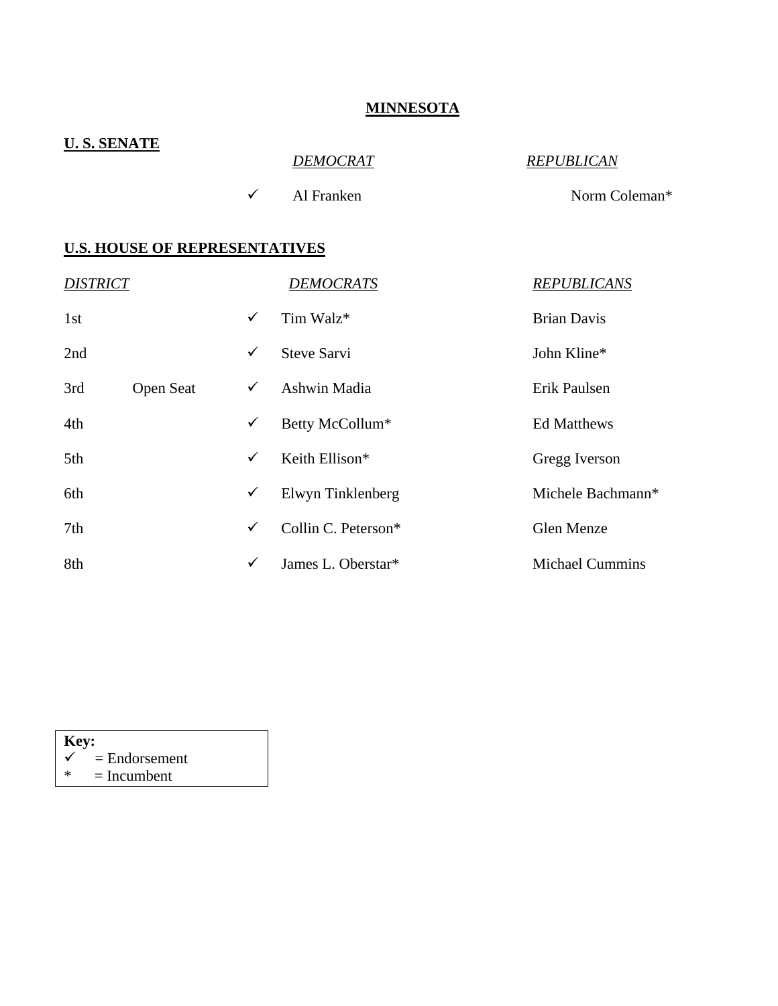#### **MINNESOTA**

| <b>U.S. SENATE</b>                   |              | <b>DEMOCRAT</b>     | <b>REPUBLICAN</b>      |
|--------------------------------------|--------------|---------------------|------------------------|
|                                      | $\checkmark$ | Al Franken          | Norm Coleman*          |
| <b>U.S. HOUSE OF REPRESENTATIVES</b> |              |                     |                        |
| <b>DISTRICT</b>                      |              | <b>DEMOCRATS</b>    | <b>REPUBLICANS</b>     |
| 1st                                  | $\checkmark$ | Tim Walz*           | <b>Brian Davis</b>     |
| 2nd                                  | $\checkmark$ | <b>Steve Sarvi</b>  | John Kline*            |
| Open Seat<br>3rd                     | $\checkmark$ | Ashwin Madia        | Erik Paulsen           |
| 4th                                  | $\checkmark$ | Betty McCollum*     | <b>Ed Matthews</b>     |
| 5th                                  | $\checkmark$ | Keith Ellison*      | Gregg Iverson          |
| 6th                                  | $\checkmark$ | Elwyn Tinklenberg   | Michele Bachmann*      |
| 7th                                  | $\checkmark$ | Collin C. Peterson* | Glen Menze             |
| 8th                                  | $\checkmark$ | James L. Oberstar*  | <b>Michael Cummins</b> |

| Key: |                            |  |  |  |  |
|------|----------------------------|--|--|--|--|
|      | $\checkmark$ = Endorsement |  |  |  |  |
| ж    | $=$ Incumbent              |  |  |  |  |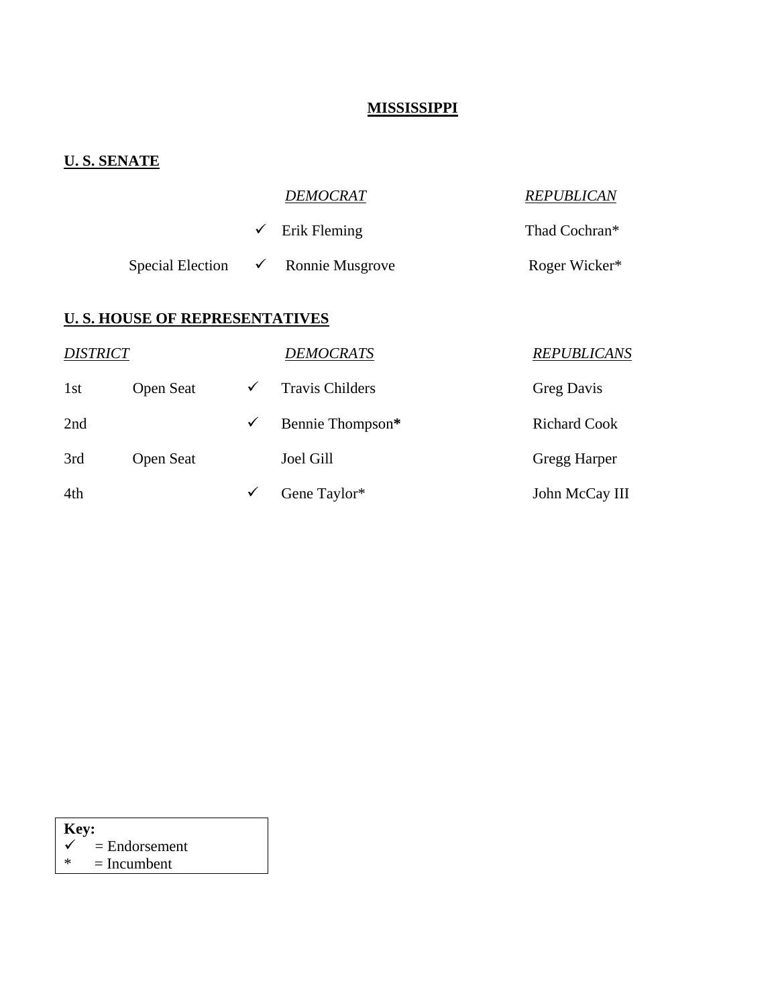### **MISSISSIPPI**

### **U. S. SENATE**

|  | DEMOCRAT                                      | <b>REPUBLICAN</b> |
|--|-----------------------------------------------|-------------------|
|  | $\checkmark$ Erik Fleming                     | Thad Cochran*     |
|  | Special Election $\checkmark$ Ronnie Musgrove | Roger Wicker*     |

| <b>DISTRICT</b> |                  |              | <b>DEMOCRATS</b>       | <b>REPUBLICANS</b>  |
|-----------------|------------------|--------------|------------------------|---------------------|
| 1st             | <b>Open Seat</b> | $\checkmark$ | <b>Travis Childers</b> | <b>Greg Davis</b>   |
| 2nd             |                  | ✓            | Bennie Thompson*       | <b>Richard Cook</b> |
| 3rd             | <b>Open Seat</b> |              | Joel Gill              | Gregg Harper        |
| 4th             |                  | ✓            | Gene Taylor*           | John McCay III      |

| Key: |                 |  |  |  |  |
|------|-----------------|--|--|--|--|
|      | $=$ Endorsement |  |  |  |  |
| ж    | $=$ Incumbent   |  |  |  |  |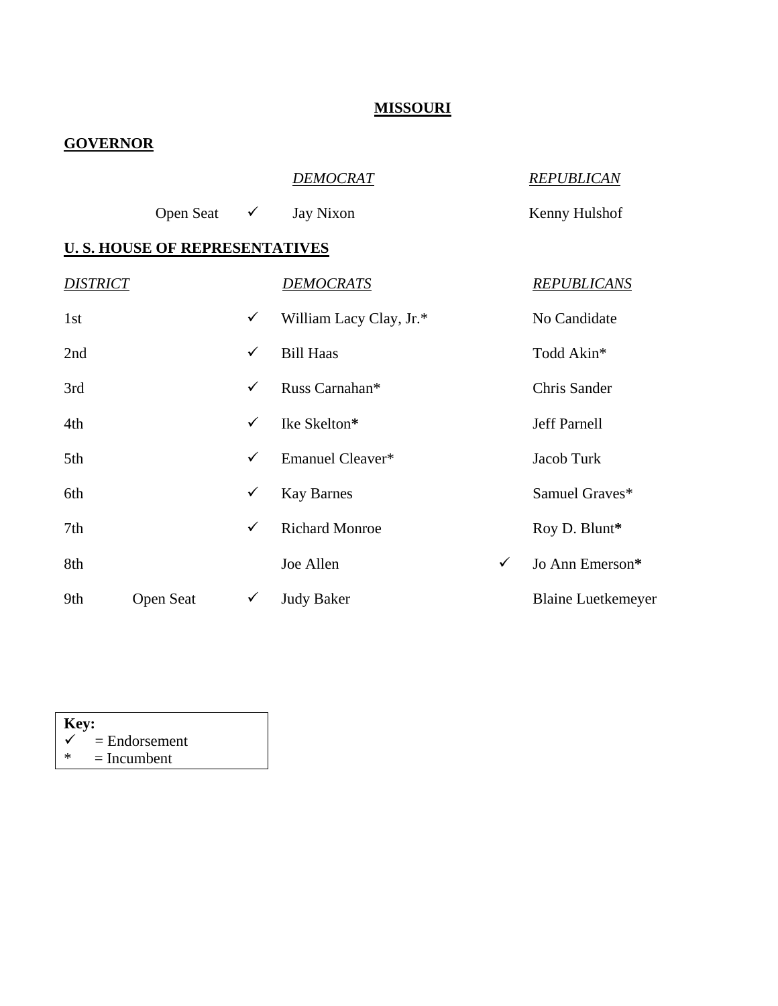### **MISSOURI**

### **GOVERNOR**

|                 |                                       |              | <b>DEMOCRAT</b>         |              | <b>REPUBLICAN</b>         |
|-----------------|---------------------------------------|--------------|-------------------------|--------------|---------------------------|
|                 | <b>Open Seat</b>                      | $\checkmark$ | Jay Nixon               |              | Kenny Hulshof             |
|                 | <b>U. S. HOUSE OF REPRESENTATIVES</b> |              |                         |              |                           |
| <b>DISTRICT</b> |                                       |              | <b>DEMOCRATS</b>        |              | <b>REPUBLICANS</b>        |
| 1st             |                                       | $\checkmark$ | William Lacy Clay, Jr.* |              | No Candidate              |
| 2nd             |                                       | $\checkmark$ | <b>Bill Haas</b>        |              | Todd Akin*                |
| 3rd             |                                       | $\checkmark$ | Russ Carnahan*          |              | Chris Sander              |
| 4th             |                                       | $\checkmark$ | Ike Skelton*            |              | <b>Jeff Parnell</b>       |
| 5th             |                                       | $\checkmark$ | Emanuel Cleaver*        |              | Jacob Turk                |
| 6th             |                                       | $\checkmark$ | <b>Kay Barnes</b>       |              | Samuel Graves*            |
| 7th             |                                       | $\checkmark$ | <b>Richard Monroe</b>   |              | Roy D. Blunt*             |
| 8th             |                                       |              | Joe Allen               | $\checkmark$ | Jo Ann Emerson*           |
| 9th             | <b>Open Seat</b>                      | $\checkmark$ | <b>Judy Baker</b>       |              | <b>Blaine Luetkemeyer</b> |

| Key: |                            |  |  |  |  |
|------|----------------------------|--|--|--|--|
|      | $\checkmark$ = Endorsement |  |  |  |  |
| ж    | $=$ Incumbent              |  |  |  |  |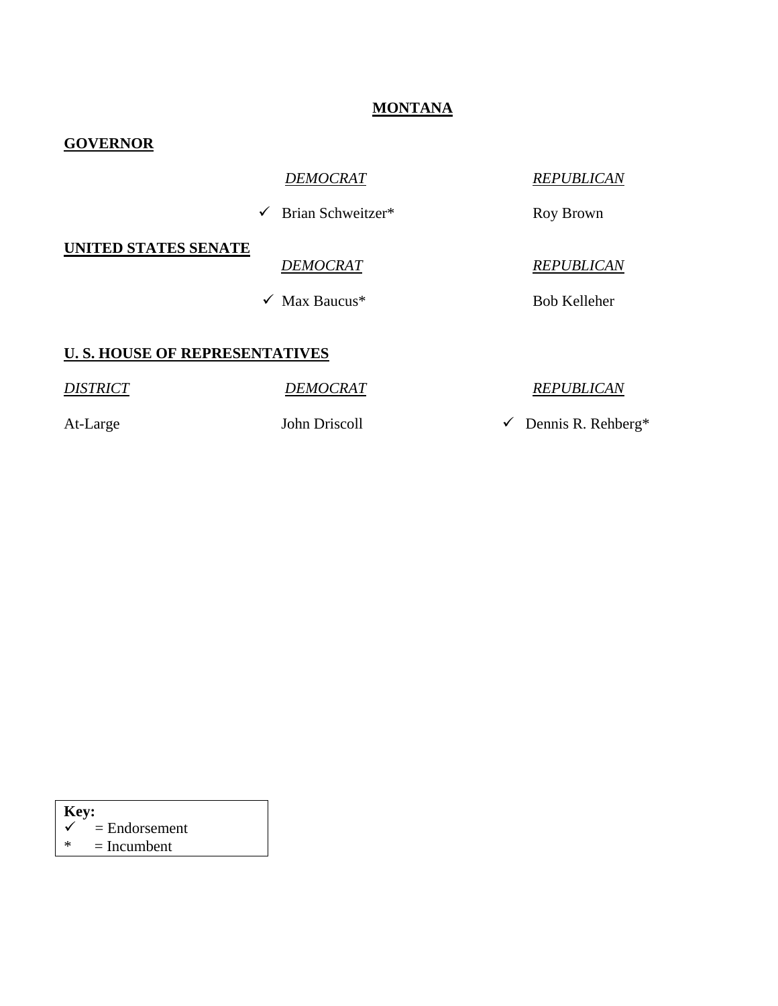#### **MONTANA**

#### **GOVERNOR**

9 Brian Schweitzer\* Roy Brown

### **UNITED STATES SENATE**

 $\checkmark$  Max Baucus<sup>\*</sup> Bob Kelleher

*DEMOCRAT REPUBLICAN*

#### *DEMOCRAT REPUBLICAN*

#### **U. S. HOUSE OF REPRESENTATIVES**

*DISTRICT DEMOCRAT REPUBLICAN* At-Large John Driscoll  $\checkmark$  Dennis R. Rehberg\*

#### **Key:**   $\checkmark$  = Endorsement  $* = Incumbent$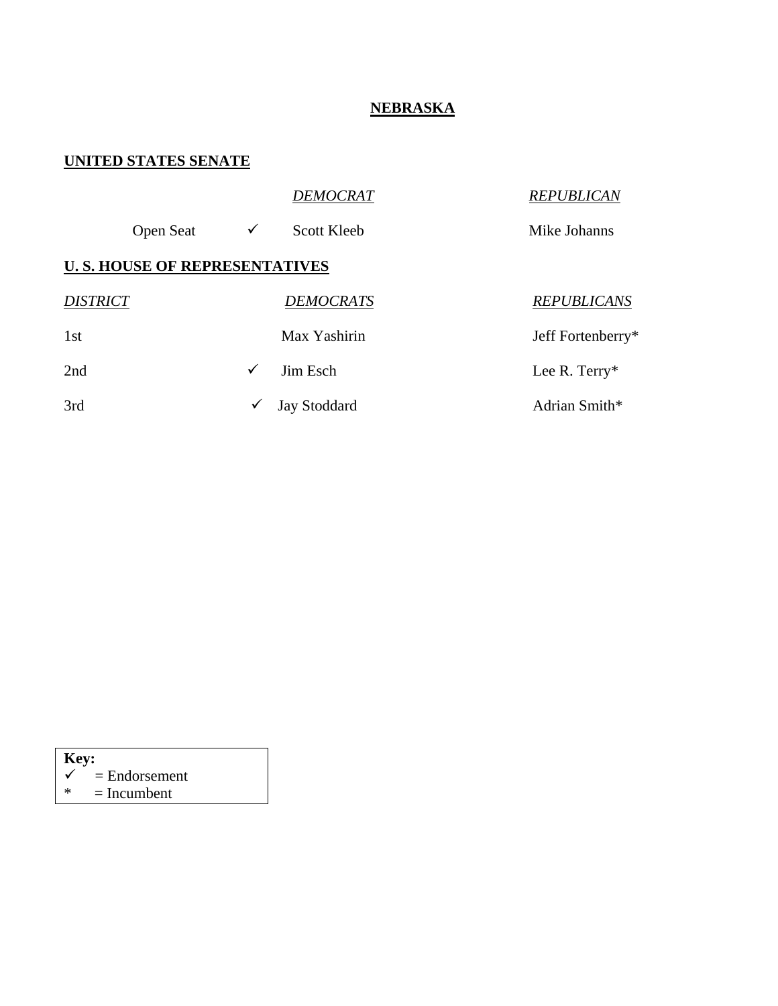### **NEBRASKA**

#### **UNITED STATES SENATE**

|                 |                                      |              | <b>DEMOCRAT</b>     | <b>REPUBLICAN</b>  |
|-----------------|--------------------------------------|--------------|---------------------|--------------------|
|                 | <b>Open Seat</b>                     | $\checkmark$ | <b>Scott Kleeb</b>  | Mike Johanns       |
|                 | <b>U.S. HOUSE OF REPRESENTATIVES</b> |              |                     |                    |
| <i>DISTRICT</i> |                                      |              | <b>DEMOCRATS</b>    | <b>REPUBLICANS</b> |
| 1 <sub>st</sub> |                                      |              | Max Yashirin        | Jeff Fortenberry*  |
| 2nd             |                                      | ✓            | Jim Esch            | Lee R. Terry*      |
| 3rd             |                                      | ✓            | <b>Jay Stoddard</b> | Adrian Smith*      |

| Key:         |                 |  |  |  |  |
|--------------|-----------------|--|--|--|--|
| $\checkmark$ | $=$ Endorsement |  |  |  |  |
| $\ast$       | $=$ Incumbent   |  |  |  |  |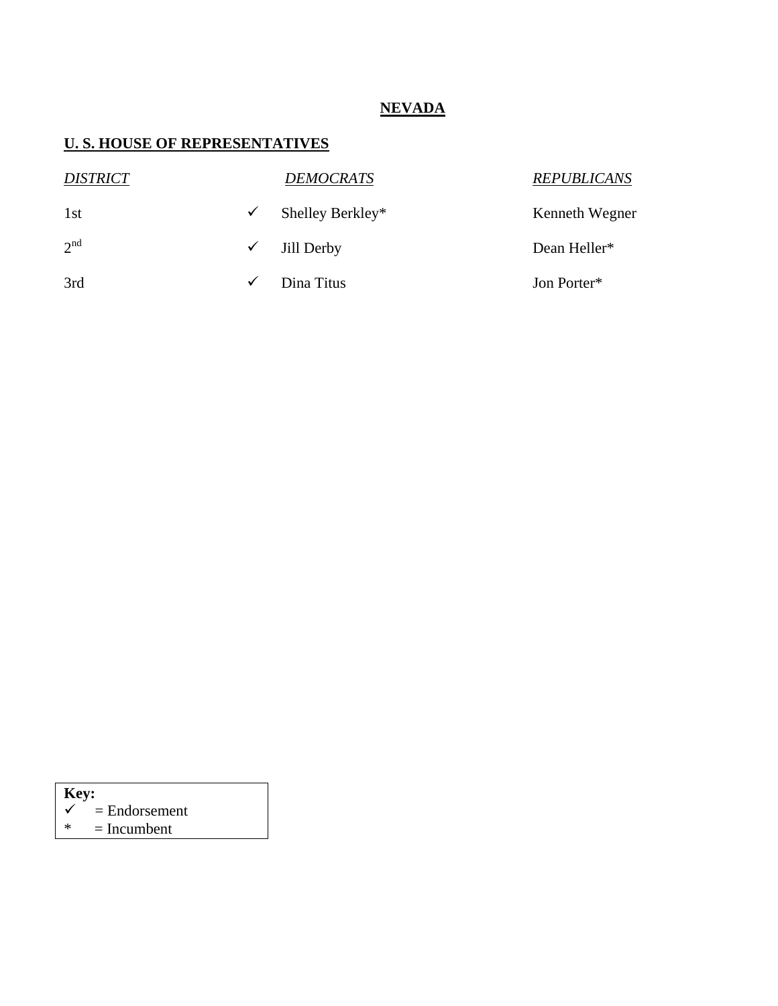### **NEVADA**

# **U. S. HOUSE OF REPRESENTATIVES**

| <b>DISTRICT</b> |              | <b>DEMOCRATS</b> | <b>REPUBLICANS</b> |
|-----------------|--------------|------------------|--------------------|
| 1st             | ✓            | Shelley Berkley* | Kenneth Wegner     |
| 2 <sup>nd</sup> | $\checkmark$ | Jill Derby       | Dean Heller*       |
| 3rd             | $\checkmark$ | Dina Titus       | Jon Porter*        |

# **Key:**

- $\begin{array}{rcl} \n\checkmark & = \text{Endorsement} \\ \n\text{*} & = \text{Incumbent} \n\end{array}$
- $=$  Incumbent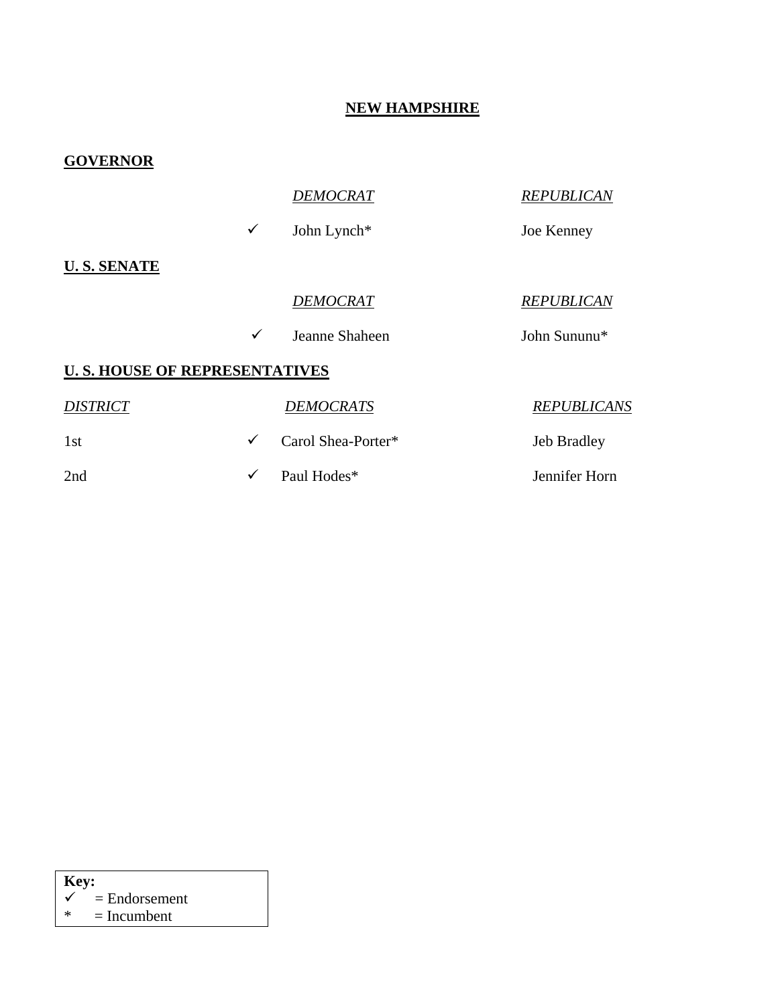#### **NEW HAMPSHIRE**

| <b>GOVERNOR</b>                      |              |                    |                    |
|--------------------------------------|--------------|--------------------|--------------------|
|                                      |              | <b>DEMOCRAT</b>    | <b>REPUBLICAN</b>  |
|                                      | $\checkmark$ | John Lynch*        | Joe Kenney         |
| <b>U.S. SENATE</b>                   |              |                    |                    |
|                                      |              | <b>DEMOCRAT</b>    | <b>REPUBLICAN</b>  |
|                                      | $\checkmark$ | Jeanne Shaheen     | John Sununu*       |
| <b>U.S. HOUSE OF REPRESENTATIVES</b> |              |                    |                    |
| <b>DISTRICT</b>                      |              | <b>DEMOCRATS</b>   | <b>REPUBLICANS</b> |
| 1st                                  | $\checkmark$ | Carol Shea-Porter* | Jeb Bradley        |
| 2nd                                  | $\checkmark$ | Paul Hodes*        | Jennifer Horn      |

| $\vert$ Key: |                            |
|--------------|----------------------------|
|              | $\checkmark$ = Endorsement |
| $\ast$       | $=$ Incumbent              |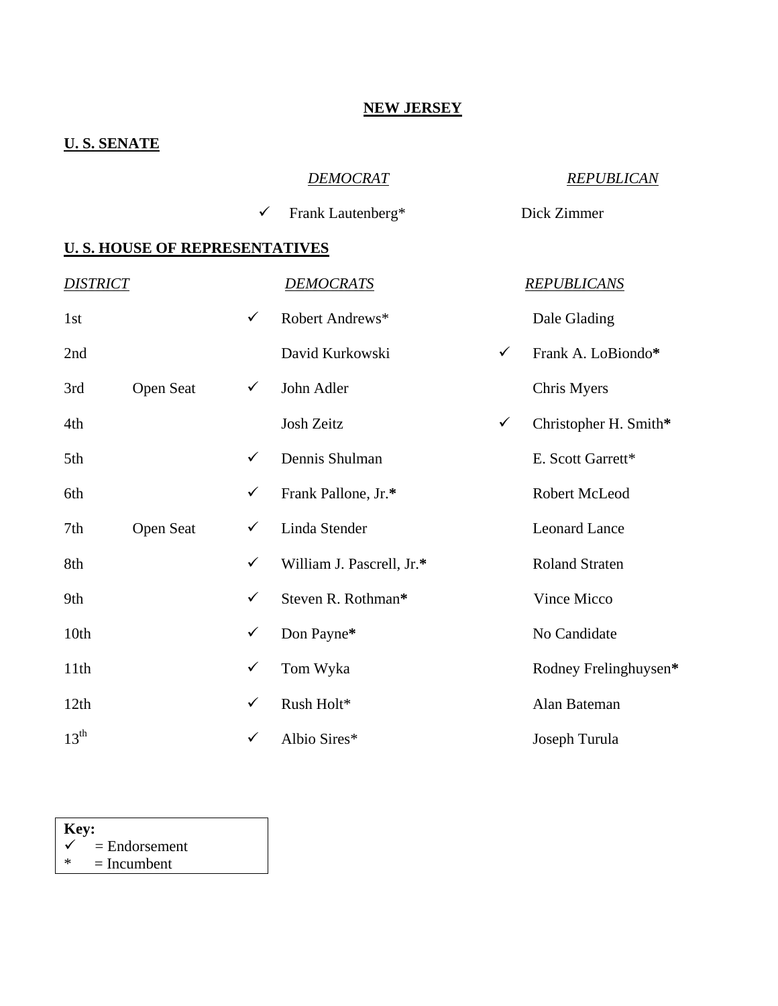#### **NEW JERSEY**

# **U. S. SENATE**

### *DEMOCRAT REPUBLICAN*

9 Frank Lautenberg\* Dick Zimmer

| <b>DISTRICT</b>  |                  |              | <b>DEMOCRATS</b>          |              | <b>REPUBLICANS</b>    |
|------------------|------------------|--------------|---------------------------|--------------|-----------------------|
| 1st              |                  | $\checkmark$ | Robert Andrews*           |              | Dale Glading          |
| 2nd              |                  |              | David Kurkowski           | $\checkmark$ | Frank A. LoBiondo*    |
| 3rd              | <b>Open Seat</b> | $\checkmark$ | John Adler                |              | Chris Myers           |
| 4th              |                  |              | Josh Zeitz                | $\checkmark$ | Christopher H. Smith* |
| 5th              |                  | $\checkmark$ | Dennis Shulman            |              | E. Scott Garrett*     |
| 6th              |                  | ✓            | Frank Pallone, Jr.*       |              | Robert McLeod         |
| 7th              | Open Seat        | $\checkmark$ | Linda Stender             |              | <b>Leonard Lance</b>  |
| 8th              |                  | $\checkmark$ | William J. Pascrell, Jr.* |              | <b>Roland Straten</b> |
| 9th              |                  | ✓            | Steven R. Rothman*        |              | Vince Micco           |
| 10th             |                  | $\checkmark$ | Don Payne*                |              | No Candidate          |
| 11th             |                  | $\checkmark$ | Tom Wyka                  |              | Rodney Frelinghuysen* |
| 12th             |                  | $\checkmark$ | Rush Holt*                |              | Alan Bateman          |
| $13^{\text{th}}$ |                  | $\checkmark$ | Albio Sires*              |              | Joseph Turula         |

| Key: |                 |  |  |  |  |
|------|-----------------|--|--|--|--|
|      | $=$ Endorsement |  |  |  |  |
| ∗    | $=$ Incumbent   |  |  |  |  |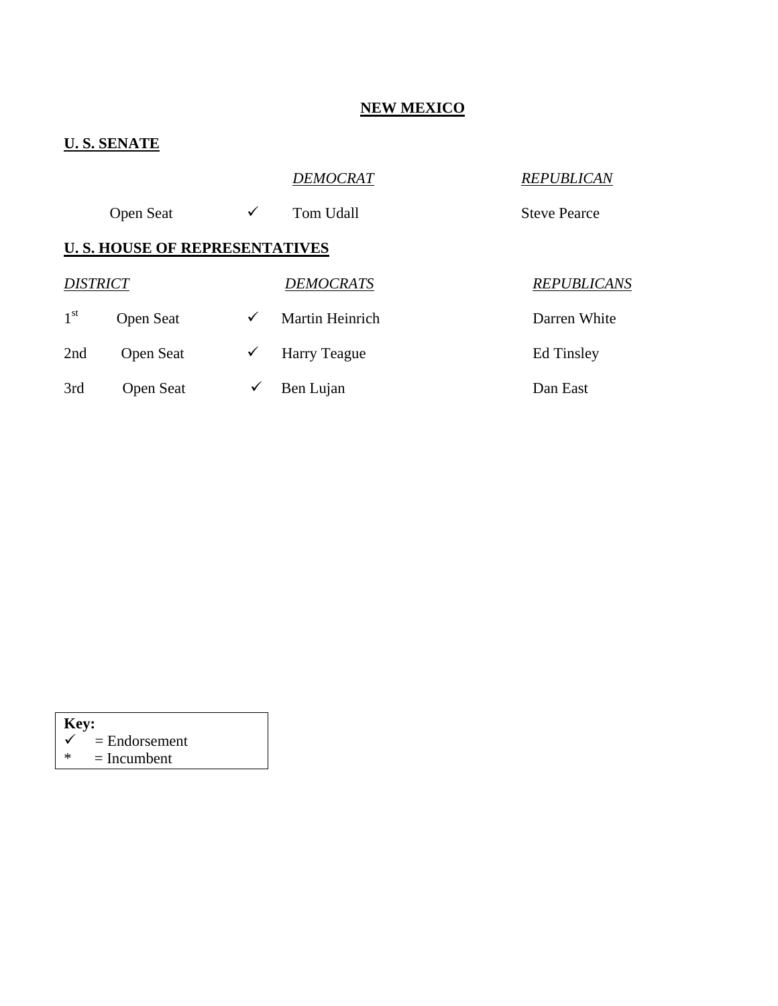# **NEW MEXICO**

# **U. S. SENATE**

|                 |                                      |              | DEMOCRAT            | <b>REPUBLICAN</b>   |
|-----------------|--------------------------------------|--------------|---------------------|---------------------|
|                 | <b>Open Seat</b>                     | ✓            | <b>Tom Udall</b>    | <b>Steve Pearce</b> |
|                 | <b>U.S. HOUSE OF REPRESENTATIVES</b> |              |                     |                     |
| <b>DISTRICT</b> |                                      |              | <b>DEMOCRATS</b>    | <b>REPUBLICANS</b>  |
| 1 <sup>st</sup> | Open Seat                            | ✓            | Martin Heinrich     | Darren White        |
| 2nd             | <b>Open Seat</b>                     | $\checkmark$ | <b>Harry Teague</b> | <b>Ed Tinsley</b>   |
| 3rd             | Open Seat                            | ✓            | Ben Lujan           | Dan East            |

| Key: |                 |
|------|-----------------|
|      | $=$ Endorsement |
| ж.   | $=$ Incumbent   |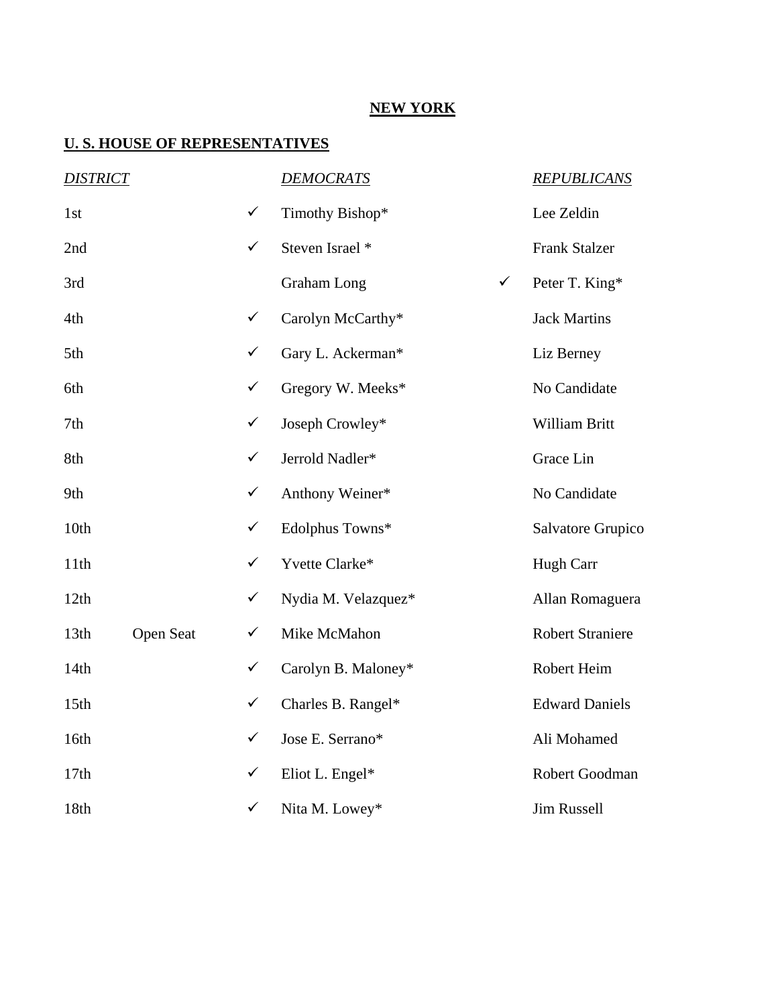### **NEW YORK**

| <b>DISTRICT</b>  |           |              | <b>DEMOCRATS</b>                   | <b>REPUBLICANS</b>      |
|------------------|-----------|--------------|------------------------------------|-------------------------|
| 1st              |           | $\checkmark$ | Timothy Bishop*                    | Lee Zeldin              |
| 2nd              |           | $\checkmark$ | Steven Israel *                    | <b>Frank Stalzer</b>    |
| 3rd              |           |              | <b>Graham</b> Long<br>$\checkmark$ | Peter T. King*          |
| 4th              |           | $\checkmark$ | Carolyn McCarthy*                  | <b>Jack Martins</b>     |
| 5th              |           | $\checkmark$ | Gary L. Ackerman*                  | Liz Berney              |
| 6th              |           | $\checkmark$ | Gregory W. Meeks*                  | No Candidate            |
| 7th              |           | $\checkmark$ | Joseph Crowley*                    | William Britt           |
| 8th              |           | $\checkmark$ | Jerrold Nadler*                    | Grace Lin               |
| 9th              |           | $\checkmark$ | Anthony Weiner*                    | No Candidate            |
| 10th             |           | $\checkmark$ | Edolphus Towns*                    | Salvatore Grupico       |
| 11th             |           | $\checkmark$ | Yvette Clarke*                     | Hugh Carr               |
| 12th             |           | $\checkmark$ | Nydia M. Velazquez*                | Allan Romaguera         |
| 13th             | Open Seat | $\checkmark$ | Mike McMahon                       | <b>Robert Straniere</b> |
| 14th             |           | $\checkmark$ | Carolyn B. Maloney*                | Robert Heim             |
| 15 <sub>th</sub> |           | $\checkmark$ | Charles B. Rangel*                 | <b>Edward Daniels</b>   |
| 16th             |           | $\checkmark$ | Jose E. Serrano*                   | Ali Mohamed             |
| 17th             |           | $\checkmark$ | Eliot L. Engel*                    | Robert Goodman          |
| 18th             |           | $\checkmark$ | Nita M. Lowey*                     | Jim Russell             |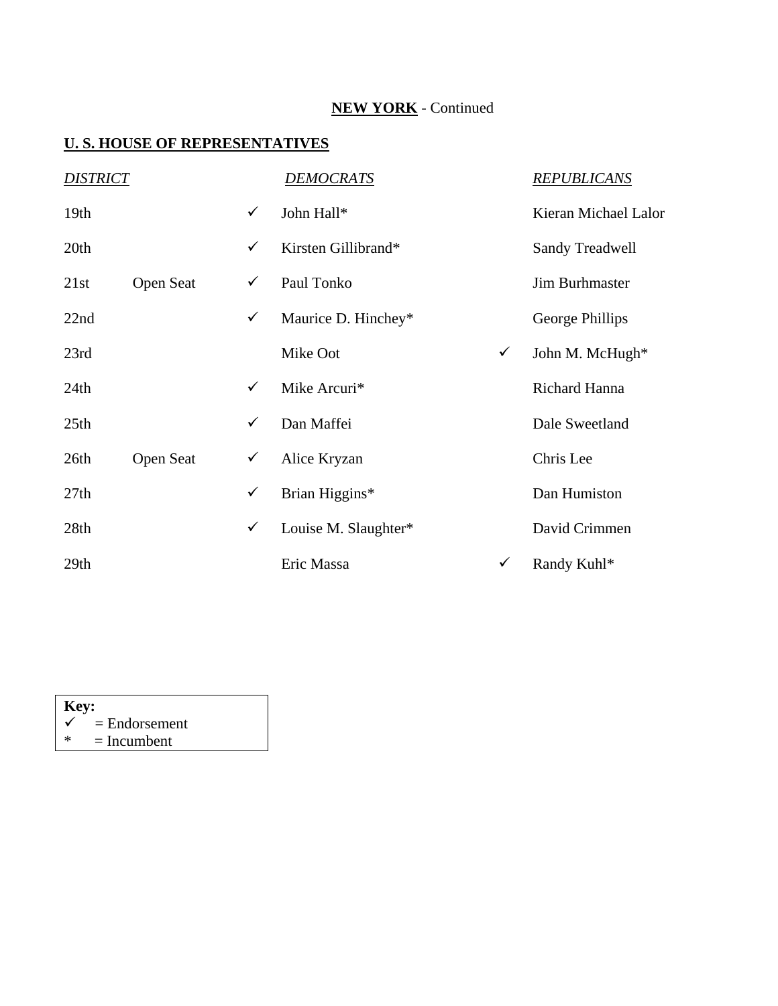# **NEW YORK** - Continued

| <b>DISTRICT</b>  |                  |              | <u>DEMOCRATS</u>     |              | <b>REPUBLICANS</b>     |
|------------------|------------------|--------------|----------------------|--------------|------------------------|
| 19 <sub>th</sub> |                  | ✓            | John Hall*           |              | Kieran Michael Lalor   |
| 20th             |                  | ✓            | Kirsten Gillibrand*  |              | <b>Sandy Treadwell</b> |
| 21st             | <b>Open Seat</b> | $\checkmark$ | Paul Tonko           |              | <b>Jim Burhmaster</b>  |
| 22nd             |                  | $\checkmark$ | Maurice D. Hinchey*  |              | George Phillips        |
| 23rd             |                  |              | Mike Oot             | $\checkmark$ | John M. McHugh*        |
| 24th             |                  | ✓            | Mike Arcuri*         |              | Richard Hanna          |
| 25 <sub>th</sub> |                  | ✓            | Dan Maffei           |              | Dale Sweetland         |
| 26th             | <b>Open Seat</b> | ✓            | Alice Kryzan         |              | Chris Lee              |
| 27th             |                  | ✓            | Brian Higgins*       |              | Dan Humiston           |
| 28th             |                  | $\checkmark$ | Louise M. Slaughter* |              | David Crimmen          |
| 29 <sub>th</sub> |                  |              | Eric Massa           | ✓            | Randy Kuhl*            |

| Key: |                 |  |  |  |  |
|------|-----------------|--|--|--|--|
| ✓    | $=$ Endorsement |  |  |  |  |
| ж    | $=$ Incumbent   |  |  |  |  |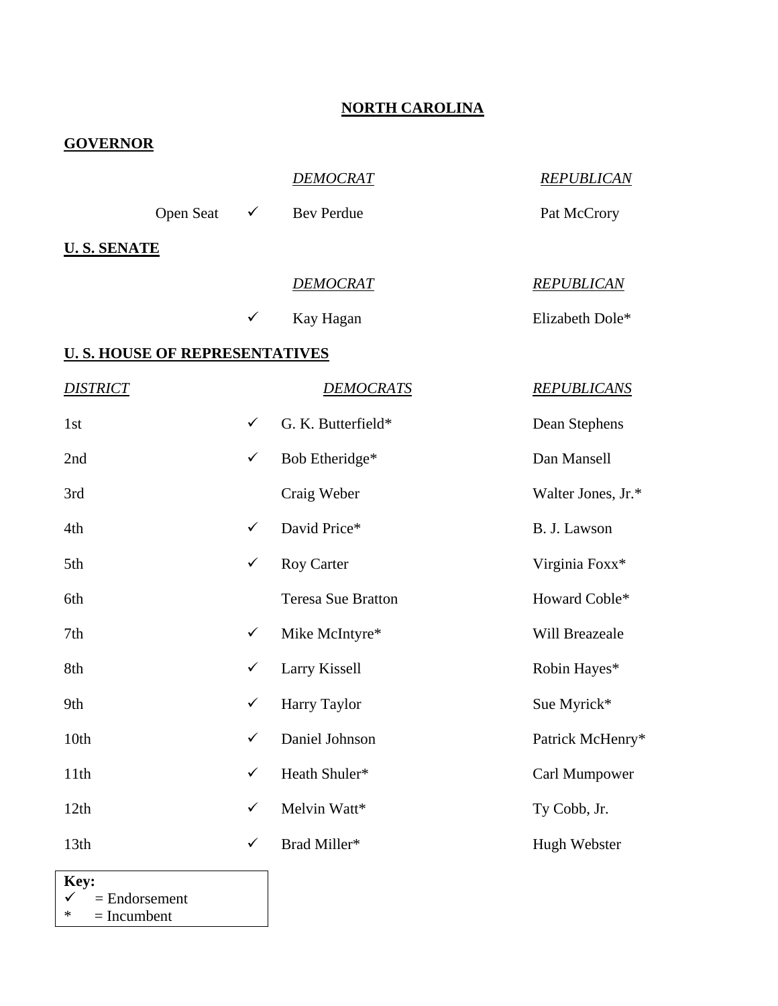### **NORTH CAROLINA**

| <b>GOVERNOR</b>                      |              |                           |                    |
|--------------------------------------|--------------|---------------------------|--------------------|
|                                      |              | <b>DEMOCRAT</b>           | <b>REPUBLICAN</b>  |
| <b>Open Seat</b>                     | $\checkmark$ | <b>Bev Perdue</b>         | Pat McCrory        |
| <u>U. S. SENATE</u>                  |              |                           |                    |
|                                      |              | <b>DEMOCRAT</b>           | <b>REPUBLICAN</b>  |
|                                      | $\checkmark$ | Kay Hagan                 | Elizabeth Dole*    |
| <u>U.S. HOUSE OF REPRESENTATIVES</u> |              |                           |                    |
| <i><b>DISTRICT</b></i>               |              | DEMOCRATS                 | <b>REPUBLICANS</b> |
| 1st                                  | $\checkmark$ | G. K. Butterfield*        | Dean Stephens      |
| 2nd                                  | $\checkmark$ | Bob Etheridge*            | Dan Mansell        |
| 3rd                                  |              | Craig Weber               | Walter Jones, Jr.* |
| 4th                                  | $\checkmark$ | David Price*              | B. J. Lawson       |
| 5th                                  | $\checkmark$ | <b>Roy Carter</b>         | Virginia Foxx*     |
| 6th                                  |              | <b>Teresa Sue Bratton</b> | Howard Coble*      |
| 7th                                  | $\checkmark$ | Mike McIntyre*            | Will Breazeale     |
| 8th                                  | ✓            | Larry Kissell             | Robin Hayes*       |
| 9th                                  | $\checkmark$ | <b>Harry Taylor</b>       | Sue Myrick*        |
| 10th                                 | $\checkmark$ | Daniel Johnson            | Patrick McHenry*   |
| 11th                                 | $\checkmark$ | Heath Shuler*             | Carl Mumpower      |
| 12th                                 | $\checkmark$ | Melvin Watt*              | Ty Cobb, Jr.       |
| 13th                                 | $\checkmark$ | Brad Miller*              | Hugh Webster       |

 $Key:$ <br> $\checkmark$  =  $\begin{cases}\n\checkmark \\
\checkmark\n\end{cases}$  = Endorsement<br>  $\checkmark$  = Incumbent  $=$  Incumbent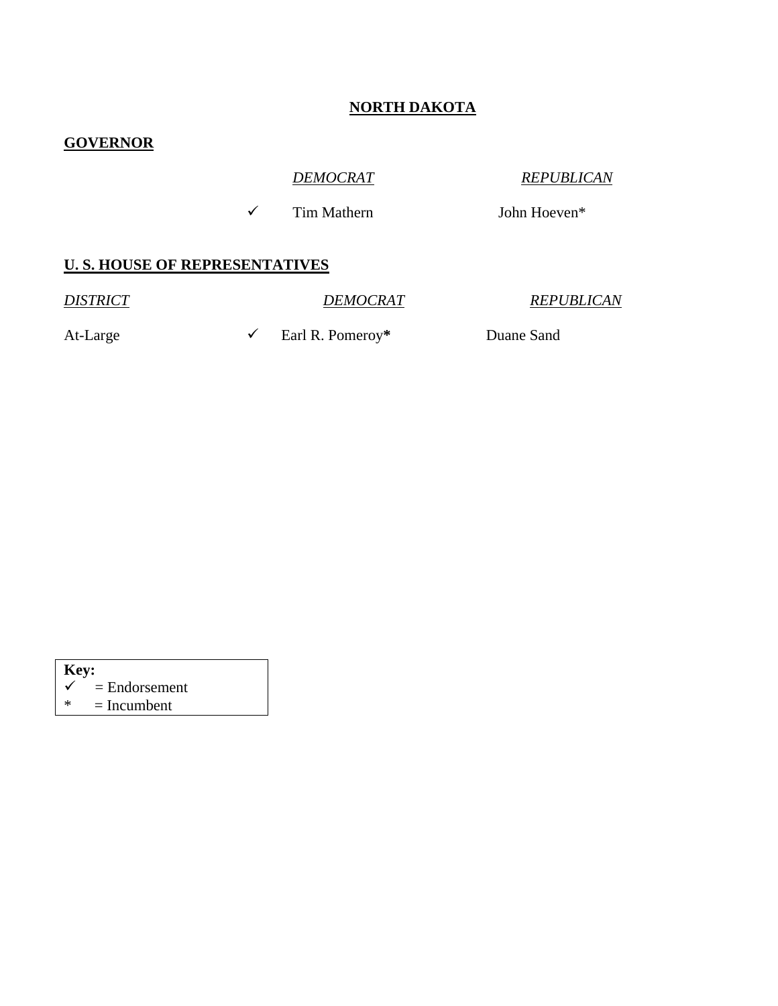### **NORTH DAKOTA**

### **GOVERNOR**

*DEMOCRAT REPUBLICAN*

 $\checkmark$  Tim Mathern John Hoeven\*

#### **U. S. HOUSE OF REPRESENTATIVES**

*DISTRICT DEMOCRAT REPUBLICAN*

At-Large  $\checkmark$  Earl R. Pomeroy<sup>\*</sup> Duane Sand

| Key: |                            |
|------|----------------------------|
|      | $\checkmark$ = Endorsement |
| ∗    | $=$ Incumbent              |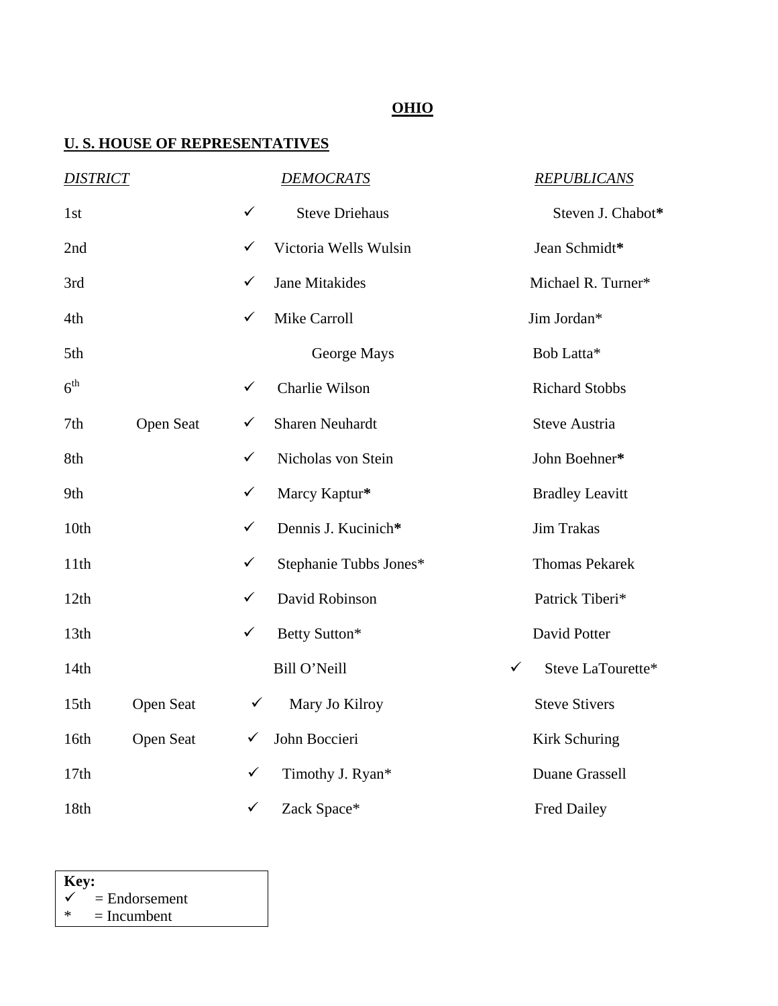# **OHIO**

### **U. S. HOUSE OF REPRESENTATIVES**

| <b>DISTRICT</b>  |           |              | <b>DEMOCRATS</b>       |   | <b>REPUBLICANS</b>     |
|------------------|-----------|--------------|------------------------|---|------------------------|
| 1st              |           | ✓            | <b>Steve Driehaus</b>  |   | Steven J. Chabot*      |
| 2nd              |           | ✓            | Victoria Wells Wulsin  |   | Jean Schmidt*          |
| 3rd              |           | ✓            | <b>Jane Mitakides</b>  |   | Michael R. Turner*     |
| 4th              |           | ✓            | Mike Carroll           |   | Jim Jordan*            |
| 5th              |           |              | George Mays            |   | Bob Latta*             |
| 6 <sup>th</sup>  |           | ✓            | Charlie Wilson         |   | <b>Richard Stobbs</b>  |
| 7th              | Open Seat | ✓            | <b>Sharen Neuhardt</b> |   | <b>Steve Austria</b>   |
| 8th              |           | ✓            | Nicholas von Stein     |   | John Boehner*          |
| 9th              |           | $\checkmark$ | Marcy Kaptur*          |   | <b>Bradley Leavitt</b> |
| 10th             |           | $\checkmark$ | Dennis J. Kucinich*    |   | <b>Jim Trakas</b>      |
| 11th             |           | $\checkmark$ | Stephanie Tubbs Jones* |   | <b>Thomas Pekarek</b>  |
| 12th             |           | ✓            | David Robinson         |   | Patrick Tiberi*        |
| 13th             |           | $\checkmark$ | Betty Sutton*          |   | David Potter           |
| 14th             |           |              | Bill O'Neill           | ✓ | Steve LaTourette*      |
| 15 <sub>th</sub> | Open Seat | $\checkmark$ | Mary Jo Kilroy         |   | <b>Steve Stivers</b>   |
| 16th             | Open Seat | ✓            | John Boccieri          |   | Kirk Schuring          |
| 17th             |           | $\checkmark$ | Timothy J. Ryan*       |   | Duane Grassell         |
| 18th             |           | $\checkmark$ | Zack Space*            |   | <b>Fred Dailey</b>     |

 $Key:$ <br> $\checkmark$  =  $\begin{cases}\n\checkmark \\
\checkmark\n\end{cases}$  = Endorsement<br>  $\checkmark$  = Incumbent  $=$  Incumbent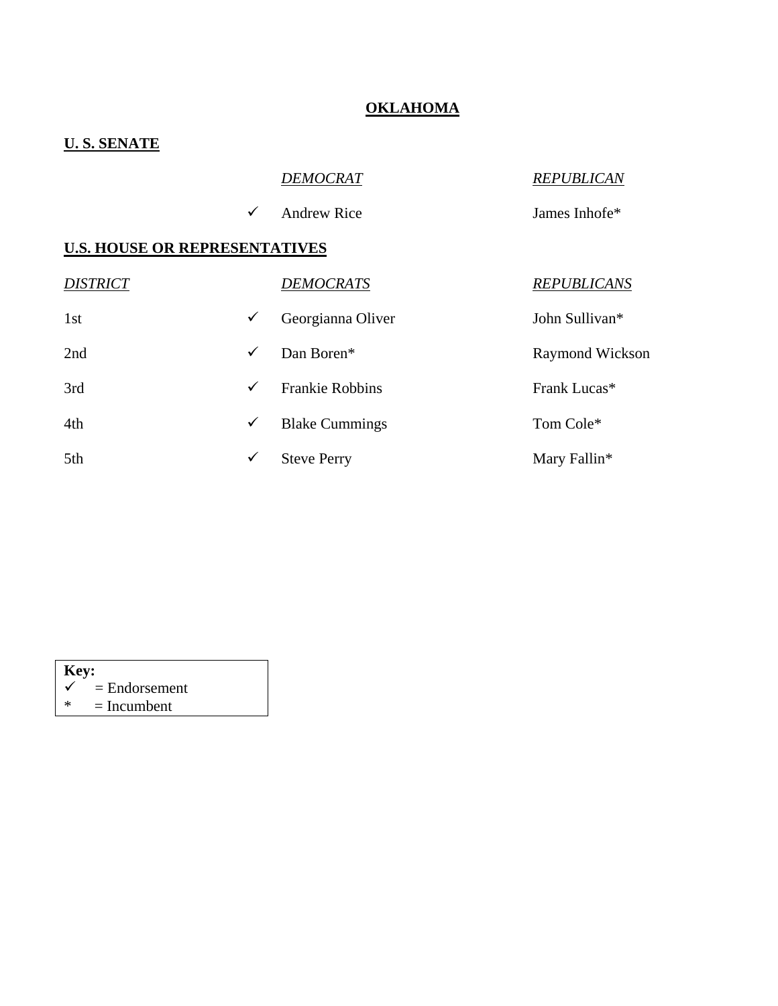#### **OKLAHOMA**

# **U. S. SENATE**

|  | <i>DEMOCRAT</i> |
|--|-----------------|

*DEMOCRAT REPUBLICAN*

 $\checkmark$  Andrew Rice James Inhofe\*

| <b>DISTRICT</b> |              | <b>DEMOCRATS</b>       | <b>REPUBLICANS</b> |
|-----------------|--------------|------------------------|--------------------|
| 1st             | ✓            | Georgianna Oliver      | John Sullivan*     |
| 2nd             | $\checkmark$ | Dan Boren*             | Raymond Wickson    |
| 3rd             | ✓            | <b>Frankie Robbins</b> | Frank Lucas*       |
| 4th             | ✓            | <b>Blake Cummings</b>  | Tom Cole*          |
| 5th             | ✓            | <b>Steve Perry</b>     | Mary Fallin*       |

| <b>Key:</b> |                            |
|-------------|----------------------------|
|             | $\checkmark$ = Endorsement |
| ж           | $=$ Incumbent              |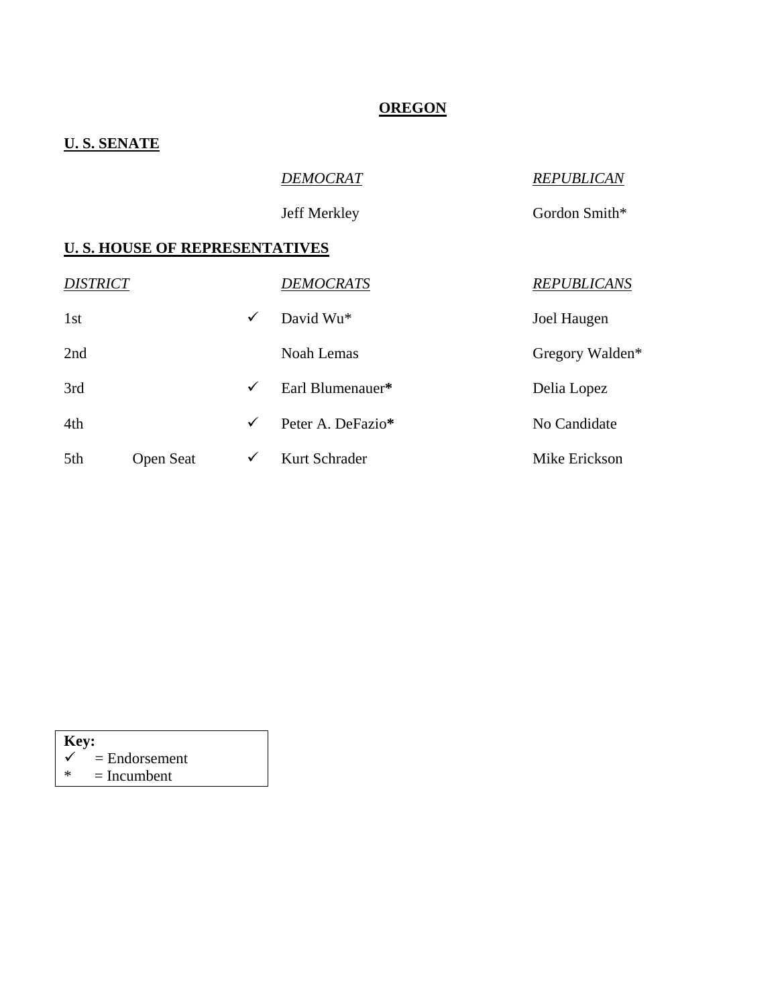#### **OREGON**

### **U. S. SENATE**

*DEMOCRAT REPUBLICAN*

Jeff Merkley Gordon Smith\*

#### **U. S. HOUSE OF REPRESENTATIVES**

| <b>DISTRICT</b> |                  |              | <b>DEMOCRATS</b>  | <b>REPUBLICANS</b> |
|-----------------|------------------|--------------|-------------------|--------------------|
| 1st             |                  | $\checkmark$ | David Wu*         | Joel Haugen        |
| 2nd             |                  |              | Noah Lemas        | Gregory Walden*    |
| 3rd             |                  | $\checkmark$ | Earl Blumenauer*  | Delia Lopez        |
| 4th             |                  | $\checkmark$ | Peter A. DeFazio* | No Candidate       |
| 5th             | <b>Open Seat</b> | ✓            | Kurt Schrader     | Mike Erickson      |

**Key:**  $\checkmark$ 

- $\begin{array}{c} \n\checkmark \\
\end{array}$  = Endorsement<br>  $\begin{array}{c} \n\checkmark \\
\end{array}$  = Incumbent
- $=$  Incumbent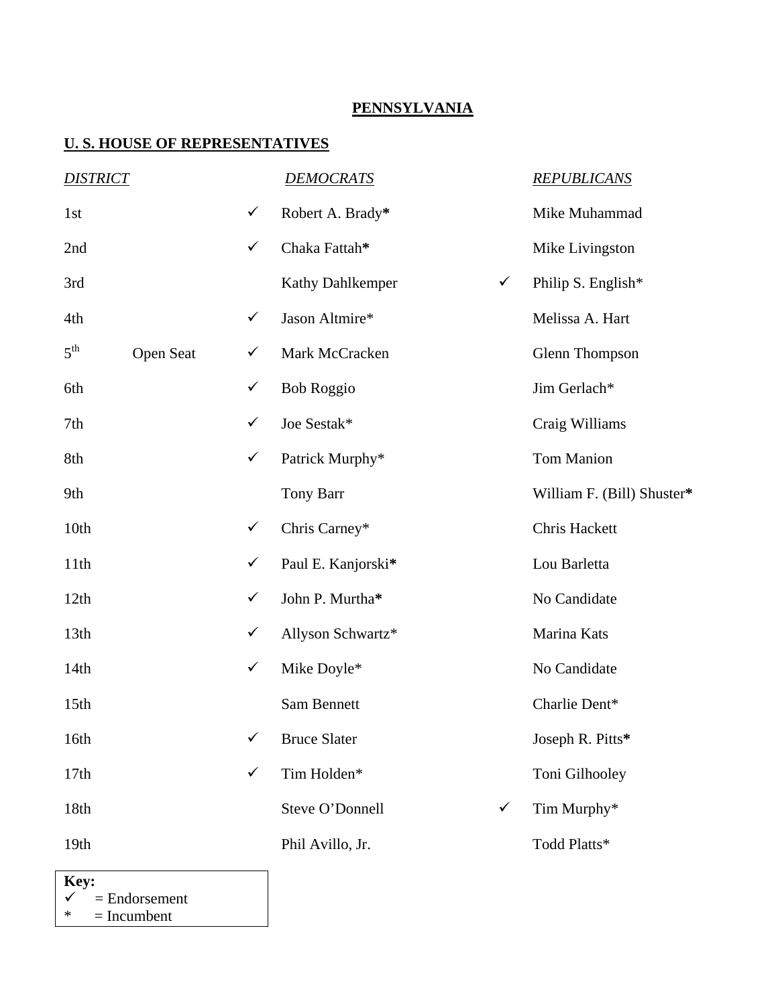### **PENNSYLVANIA**

### **U. S. HOUSE OF REPRESENTATIVES**

| <b>DISTRICT</b>  |           |              | <b>DEMOCRATS</b>                 | <b>REPUBLICANS</b>         |
|------------------|-----------|--------------|----------------------------------|----------------------------|
| 1st              |           | $\checkmark$ | Robert A. Brady*                 | Mike Muhammad              |
| 2nd              |           | $\checkmark$ | Chaka Fattah*                    | Mike Livingston            |
| 3rd              |           |              | $\checkmark$<br>Kathy Dahlkemper | Philip S. English*         |
| 4th              |           | $\checkmark$ | Jason Altmire*                   | Melissa A. Hart            |
| $5^{\text{th}}$  | Open Seat | $\checkmark$ | Mark McCracken                   | Glenn Thompson             |
| 6th              |           | $\checkmark$ | <b>Bob Roggio</b>                | Jim Gerlach*               |
| 7th              |           | $\checkmark$ | Joe Sestak*                      | Craig Williams             |
| 8th              |           | $\checkmark$ | Patrick Murphy*                  | Tom Manion                 |
| 9th              |           |              | Tony Barr                        | William F. (Bill) Shuster* |
| 10th             |           | $\checkmark$ | Chris Carney*                    | Chris Hackett              |
| 11th             |           | $\checkmark$ | Paul E. Kanjorski*               | Lou Barletta               |
| 12th             |           | $\checkmark$ | John P. Murtha*                  | No Candidate               |
| 13 <sup>th</sup> |           | $\checkmark$ | Allyson Schwartz*                | Marina Kats                |
| 14th             |           | $\checkmark$ | Mike Doyle*                      | No Candidate               |
| 15 <sup>th</sup> |           |              | <b>Sam Bennett</b>               | Charlie Dent*              |
| 16th             |           |              | <b>Bruce Slater</b>              | Joseph R. Pitts*           |
| 17th             |           | $\checkmark$ | Tim Holden*                      | Toni Gilhooley             |
| 18th             |           |              | Steve O'Donnell<br>$\checkmark$  | Tim Murphy*                |
| 19th             |           |              | Phil Avillo, Jr.                 | Todd Platts*               |

**Key:**  $\checkmark$  =  $\begin{array}{r} \n\checkmark \quad = \text{Endorsement} \\ \n\text{*} \quad = \text{Incumbent} \n\end{array}$  $=$  Incumbent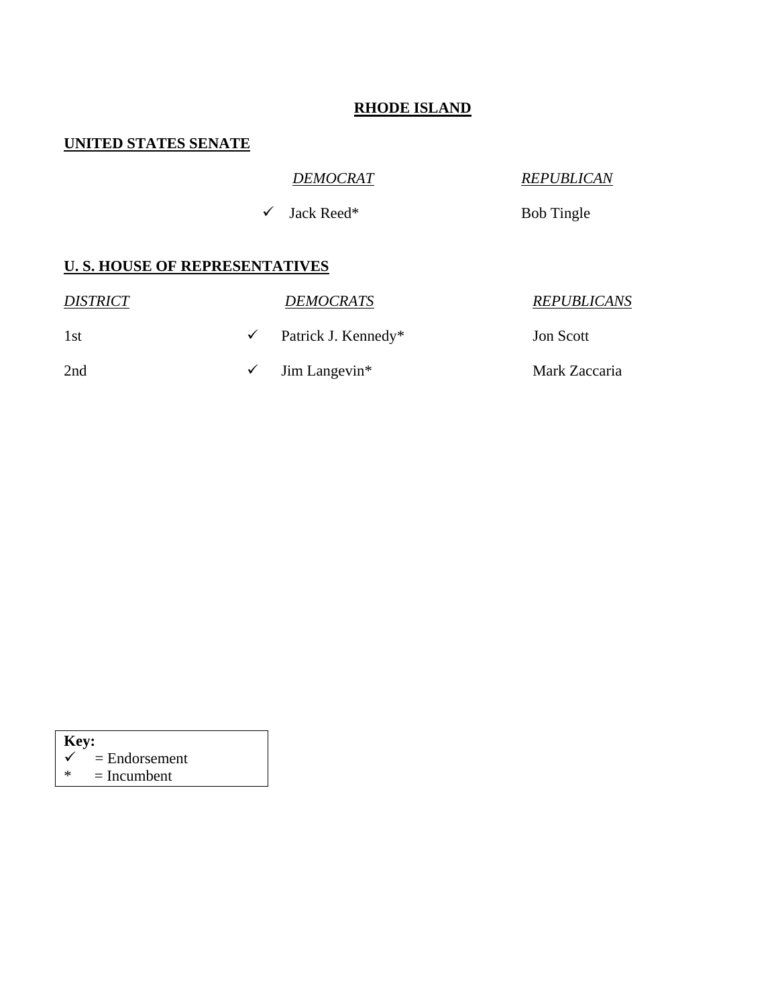#### **RHODE ISLAND**

### **UNITED STATES SENATE**

## *DEMOCRAT REPUBLICAN*

 $\checkmark$  Jack Reed\* Bob Tingle

| <i><b>DISTRICT</b></i> | <b>DEMOCRATS</b>                       | <b>REPUBLICANS</b> |
|------------------------|----------------------------------------|--------------------|
| 1st                    | $\checkmark$ Patrick J. Kennedy*       | <b>Jon Scott</b>   |
| 2nd                    | $\checkmark$ Jim Langevin <sup>*</sup> | Mark Zaccaria      |

- $\overline{\text{Key:}}$
- $\begin{array}{c} \n\checkmark \\
\end{array}$  = Endorsement<br>  $\begin{array}{c} \n\checkmark \\
\end{array}$  = Incumbent
- $=$  Incumbent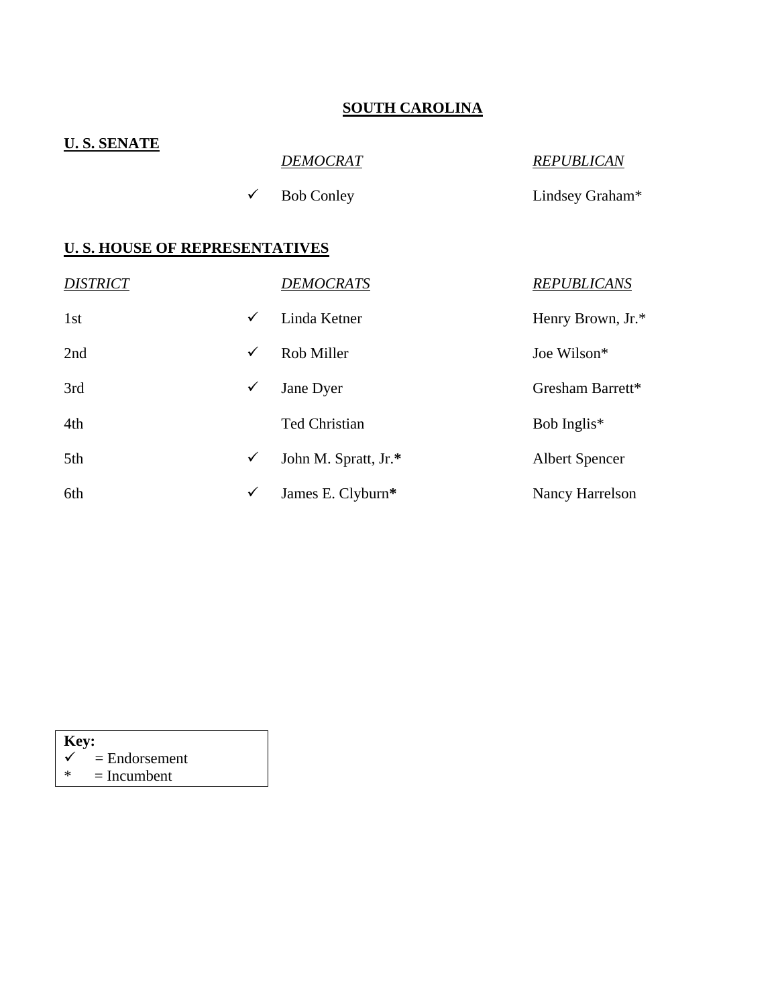# **SOUTH CAROLINA**

| <b>U.S. SENATE</b> |                                       |                      |                       |  |  |  |  |
|--------------------|---------------------------------------|----------------------|-----------------------|--|--|--|--|
|                    |                                       | <b>DEMOCRAT</b>      | <b>REPUBLICAN</b>     |  |  |  |  |
|                    | $\checkmark$                          | <b>Bob Conley</b>    | Lindsey Graham*       |  |  |  |  |
|                    | <b>U. S. HOUSE OF REPRESENTATIVES</b> |                      |                       |  |  |  |  |
| <b>DISTRICT</b>    |                                       | <u>DEMOCRATS</u>     | <b>REPUBLICANS</b>    |  |  |  |  |
| 1st                | $\checkmark$                          | Linda Ketner         | Henry Brown, Jr.*     |  |  |  |  |
| 2nd                | $\checkmark$                          | Rob Miller           | Joe Wilson*           |  |  |  |  |
| 3rd                | ✓                                     | Jane Dyer            | Gresham Barrett*      |  |  |  |  |
| 4th                |                                       | <b>Ted Christian</b> | Bob Inglis*           |  |  |  |  |
| 5th                | $\checkmark$                          | John M. Spratt, Jr.* | <b>Albert Spencer</b> |  |  |  |  |
| 6th                | $\checkmark$                          | James E. Clyburn*    | Nancy Harrelson       |  |  |  |  |

**Key:**  $\checkmark$ 

- $\begin{array}{c} \boldsymbol{\checkmark} \\ \boldsymbol{\checkmark} \\ \boldsymbol{\checkmark} \end{array}$  = Endorsement
- $=$  Incumbent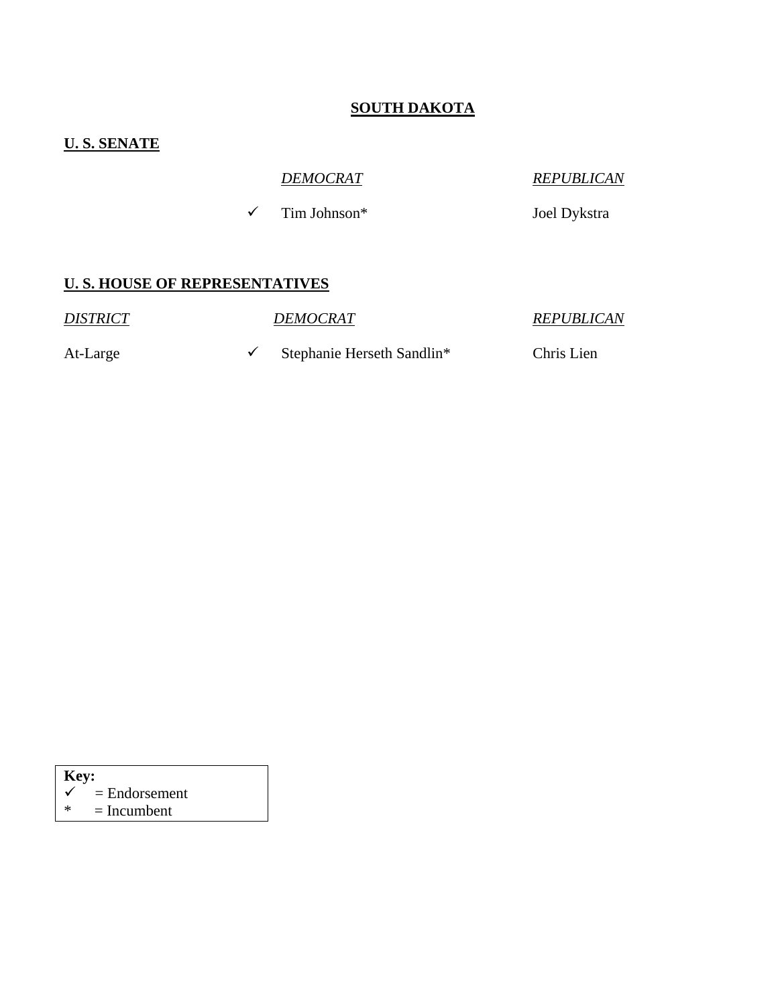#### **SOUTH DAKOTA**

### **U. S. SENATE**

*DEMOCRAT REPUBLICAN*

 $\checkmark$  Tim Johnson\* Joel Dykstra

#### **U. S. HOUSE OF REPRESENTATIVES**

*DISTRICT DEMOCRAT REPUBLICAN* 

At-Large Stephanie Herseth Sandlin\* Chris Lien

**Key:** 

 $=$  Endorsement

 $* = Incumbent$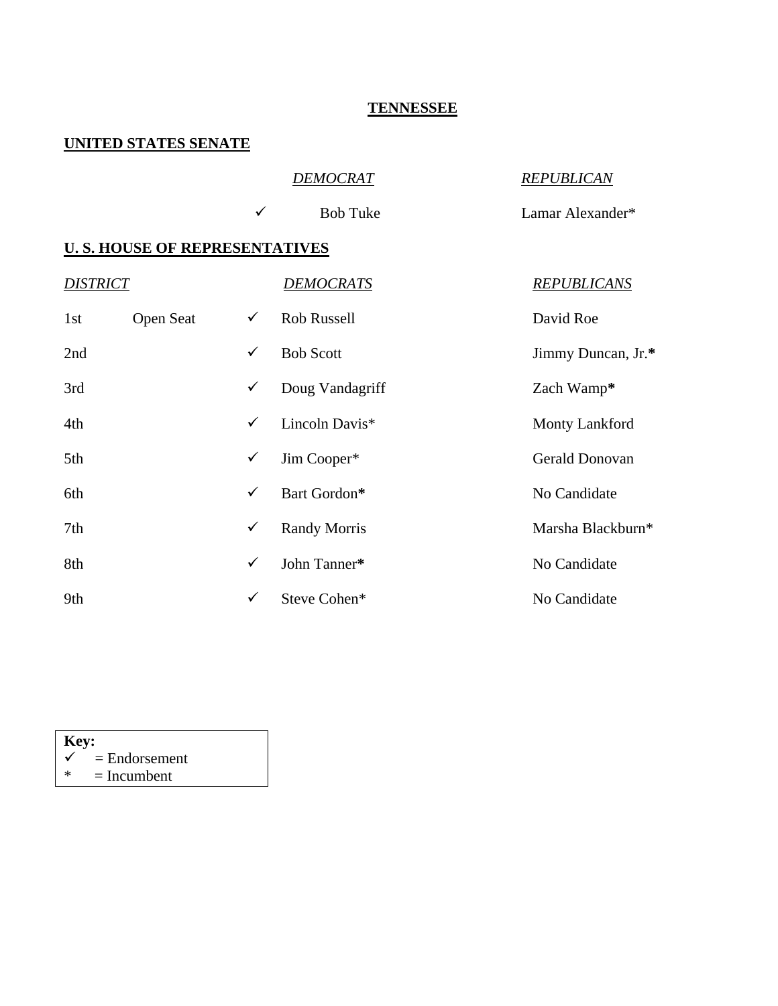#### **TENNESSEE**

### **UNITED STATES SENATE**

#### *DEMOCRAT REPUBLICAN*

 $\checkmark$  Bob Tuke Lamar Alexander\*

#### **U. S. HOUSE OF REPRESENTATIVES**

| <b>DISTRICT</b> |           |              | <b>DEMOCRATS</b>    | <b>REPUBLICANS</b>    |
|-----------------|-----------|--------------|---------------------|-----------------------|
| 1st             | Open Seat | $\checkmark$ | Rob Russell         | David Roe             |
| 2nd             |           | $\checkmark$ | <b>Bob Scott</b>    | Jimmy Duncan, Jr.*    |
| 3rd             |           | $\checkmark$ | Doug Vandagriff     | Zach Wamp*            |
| 4th             |           | $\checkmark$ | Lincoln Davis*      | <b>Monty Lankford</b> |
| 5th             |           | $\checkmark$ | Jim Cooper*         | Gerald Donovan        |
| 6th             |           | $\checkmark$ | Bart Gordon*        | No Candidate          |
| 7th             |           | $\checkmark$ | <b>Randy Morris</b> | Marsha Blackburn*     |
| 8th             |           | $\checkmark$ | John Tanner*        | No Candidate          |
| 9th             |           | $\checkmark$ | Steve Cohen*        | No Candidate          |

#### **Key:**   $\begin{array}{c} \n\checkmark \\
\end{array}$  = Endorsement<br>  $\begin{array}{c} \n\checkmark \\
\end{array}$  = Incumbent  $=$  Incumbent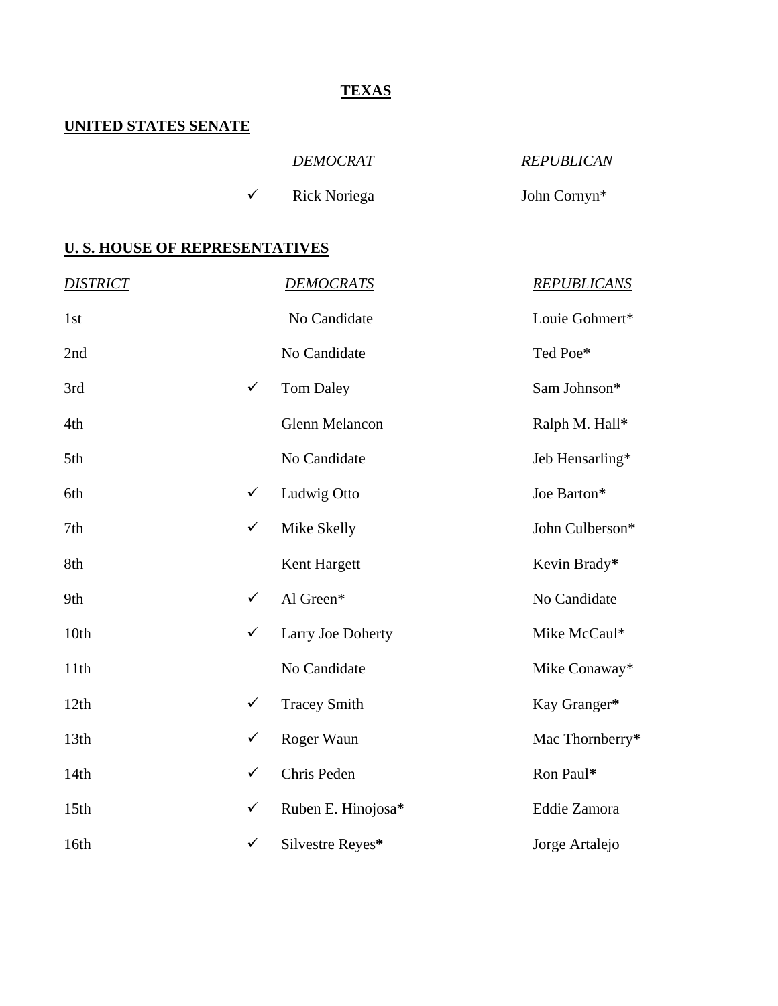## **TEXAS**

#### **UNITED STATES SENATE**

## *DEMOCRAT REPUBLICAN*

9 Rick Noriega John Cornyn\*

| <b>DISTRICT</b> |              | <b>DEMOCRATS</b>    | <b>REPUBLICANS</b> |
|-----------------|--------------|---------------------|--------------------|
| 1st             |              | No Candidate        | Louie Gohmert*     |
| 2nd             |              | No Candidate        | Ted Poe*           |
| 3rd             | $\checkmark$ | <b>Tom Daley</b>    | Sam Johnson*       |
| 4th             |              | Glenn Melancon      | Ralph M. Hall*     |
| 5th             |              | No Candidate        | Jeb Hensarling*    |
| 6th             | $\checkmark$ | Ludwig Otto         | Joe Barton*        |
| 7th             | $\checkmark$ | Mike Skelly         | John Culberson*    |
| 8th             |              | Kent Hargett        | Kevin Brady*       |
| 9th             | $\checkmark$ | Al Green*           | No Candidate       |
| 10th            | $\checkmark$ | Larry Joe Doherty   | Mike McCaul*       |
| 11th            |              | No Candidate        | Mike Conaway*      |
| 12th            | $\checkmark$ | <b>Tracey Smith</b> | Kay Granger*       |
| 13th            | $\checkmark$ | Roger Waun          | Mac Thornberry*    |
| 14th            | $\checkmark$ | Chris Peden         | Ron Paul*          |
| 15th            | $\checkmark$ | Ruben E. Hinojosa*  | Eddie Zamora       |
| 16th            | $\checkmark$ | Silvestre Reyes*    | Jorge Artalejo     |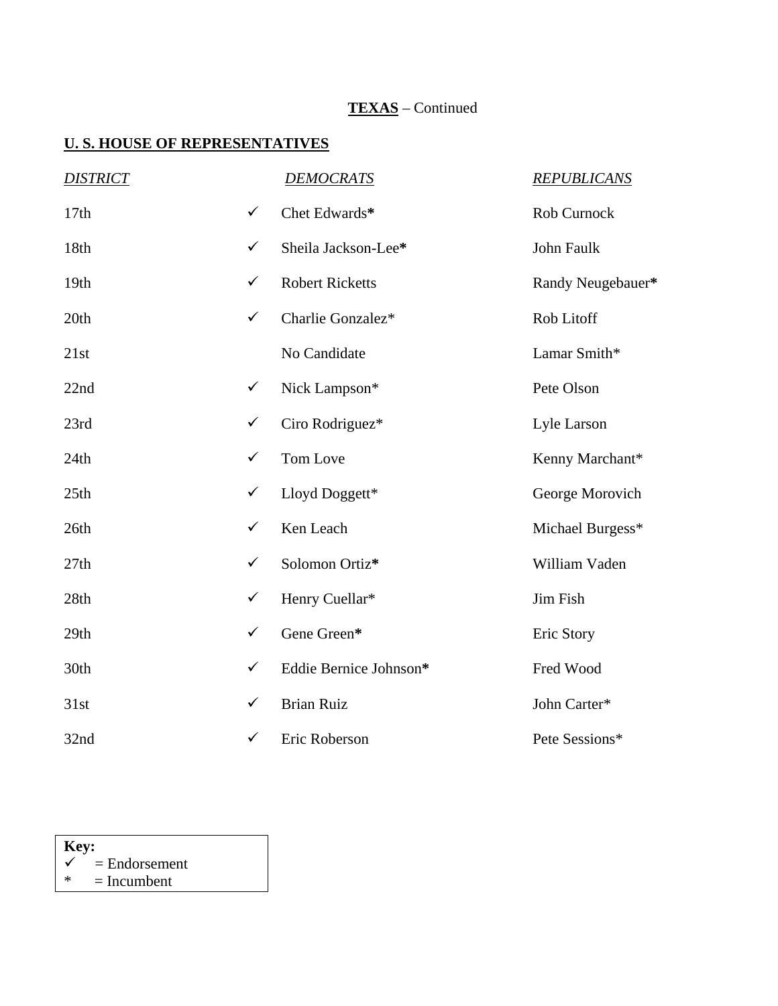# **TEXAS** – Continued

| <b>DISTRICT</b> |              | <b>DEMOCRATS</b>       | <b>REPUBLICANS</b> |
|-----------------|--------------|------------------------|--------------------|
| 17th            | $\checkmark$ | Chet Edwards*          | Rob Curnock        |
| 18th            | $\checkmark$ | Sheila Jackson-Lee*    | John Faulk         |
| 19th            | $\checkmark$ | <b>Robert Ricketts</b> | Randy Neugebauer*  |
| 20th            | $\checkmark$ | Charlie Gonzalez*      | Rob Litoff         |
| 21st            |              | No Candidate           | Lamar Smith*       |
| 22nd            | $\checkmark$ | Nick Lampson*          | Pete Olson         |
| 23rd            | $\checkmark$ | Ciro Rodriguez*        | Lyle Larson        |
| 24th            | $\checkmark$ | Tom Love               | Kenny Marchant*    |
| 25th            | $\checkmark$ | Lloyd Doggett*         | George Morovich    |
| 26th            | $\checkmark$ | Ken Leach              | Michael Burgess*   |
| 27th            | $\checkmark$ | Solomon Ortiz*         | William Vaden      |
| 28th            | $\checkmark$ | Henry Cuellar*         | Jim Fish           |
| 29th            | $\checkmark$ | Gene Green*            | Eric Story         |
| 30th            | $\checkmark$ | Eddie Bernice Johnson* | Fred Wood          |
| 31st            | $\checkmark$ | <b>Brian Ruiz</b>      | John Carter*       |
| 32nd            | $\checkmark$ | Eric Roberson          | Pete Sessions*     |

| Key:         |                 |  |  |  |  |
|--------------|-----------------|--|--|--|--|
| $\checkmark$ | $=$ Endorsement |  |  |  |  |
| *            | $=$ Incumbent   |  |  |  |  |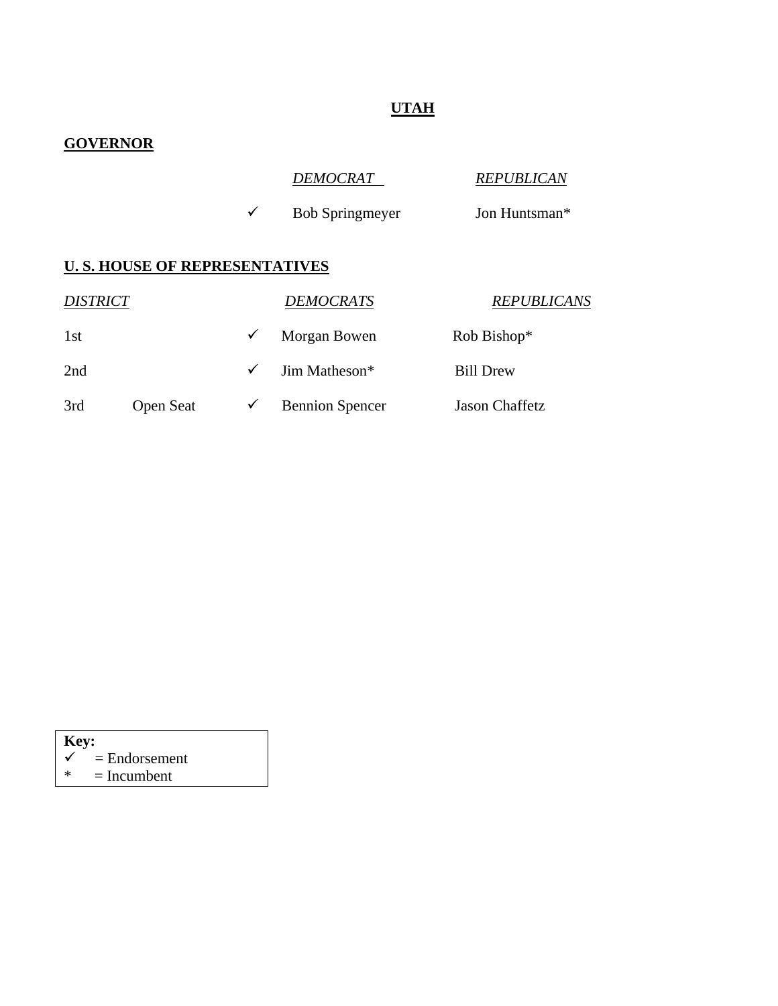# **UTAH**

# **GOVERNOR**

| <b>DEMOCRAT</b> | <b>REPUBLICAN</b> |
|-----------------|-------------------|
|                 |                   |

 $\checkmark$  Bob Springmeyer Jon Huntsman\*

| <i>DISTRICT</i> |                  |            | <b>DEMOCRATS</b>       | <b>REPUBLICANS</b> |
|-----------------|------------------|------------|------------------------|--------------------|
| 1st             |                  | ✓          | Morgan Bowen           | Rob Bishop*        |
| 2nd             |                  | $\sqrt{ }$ | Jim Matheson*          | <b>Bill Drew</b>   |
| 3rd             | <b>Open Seat</b> | ✔          | <b>Bennion Spencer</b> | Jason Chaffetz     |

- **Key:**  $\checkmark$
- $\begin{cases}\n\checkmark \\
\checkmark\n\end{cases}$  = Endorsement
- $=$  Incumbent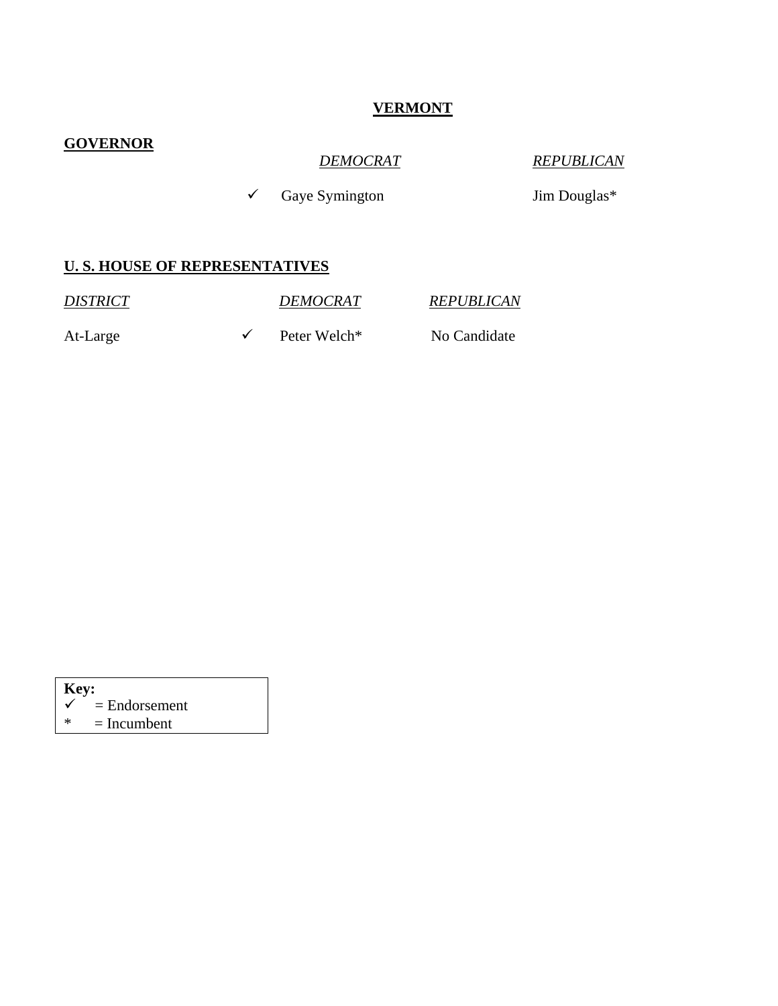# **VERMONT**

### **GOVERNOR**

*DEMOCRAT REPUBLICAN*

 $\checkmark$  Gaye Symington Jim Douglas\*

#### **U. S. HOUSE OF REPRESENTATIVES**

*DISTRICT DEMOCRAT REPUBLICAN* At-Large  $\checkmark$  Peter Welch\* No Candidate

| <b>Key:</b> |                            |  |  |  |
|-------------|----------------------------|--|--|--|
|             | $\checkmark$ = Endorsement |  |  |  |
| ∗           | $=$ Incumbent              |  |  |  |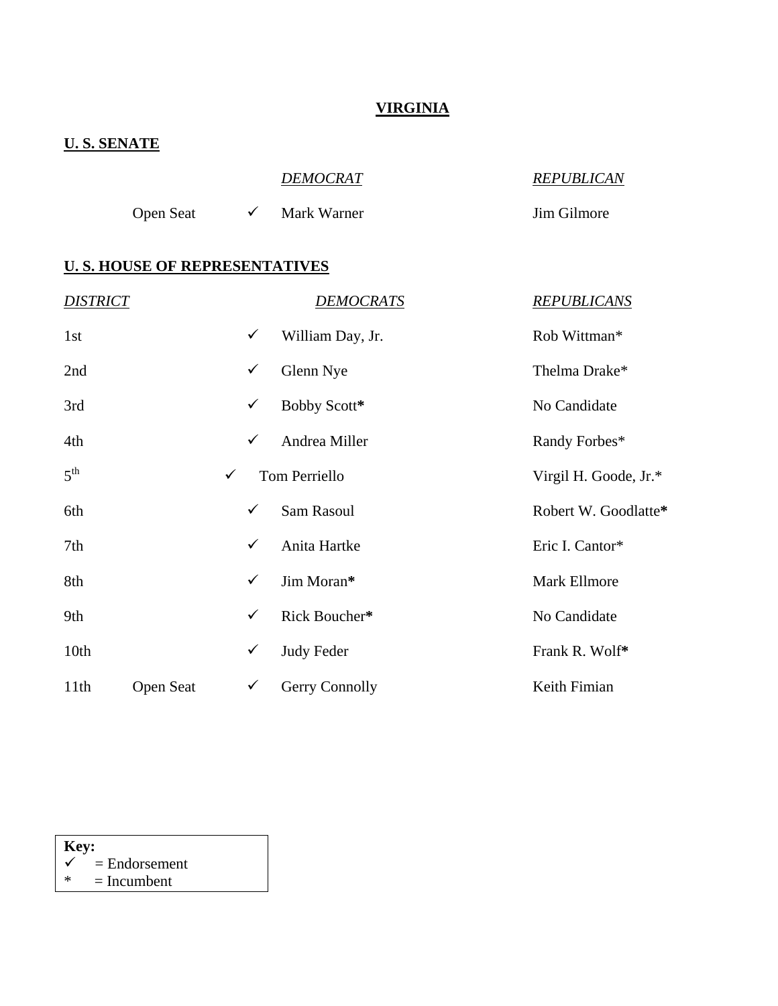### **VIRGINIA**

### **U. S. SENATE**

|           | <b>DEMOCRAT</b> | <b>REPUBLICAN</b> |
|-----------|-----------------|-------------------|
| Open Seat | Mark Warner     | Jim Gilmore       |

#### **U. S. HOUSE OF REPRESENTATIVES**

| <b>DISTRICT</b> |           |              | <b>DEMOCRATS</b>  | <b>REPUBLICANS</b>    |
|-----------------|-----------|--------------|-------------------|-----------------------|
| 1st             |           | $\checkmark$ | William Day, Jr.  | Rob Wittman*          |
| 2nd             |           | $\checkmark$ | Glenn Nye         | Thelma Drake*         |
| 3rd             |           | $\checkmark$ | Bobby Scott*      | No Candidate          |
| 4th             |           | $\checkmark$ | Andrea Miller     | Randy Forbes*         |
| 5 <sup>th</sup> |           | $\checkmark$ | Tom Perriello     | Virgil H. Goode, Jr.* |
| 6th             |           | $\checkmark$ | Sam Rasoul        | Robert W. Goodlatte*  |
| 7th             |           | $\checkmark$ | Anita Hartke      | Eric I. Cantor*       |
| 8th             |           | $\checkmark$ | Jim Moran*        | Mark Ellmore          |
| 9th             |           | $\checkmark$ | Rick Boucher*     | No Candidate          |
| 10th            |           | $\checkmark$ | <b>Judy Feder</b> | Frank R. Wolf*        |
| 11th            | Open Seat | $\checkmark$ | Gerry Connolly    | Keith Fimian          |

### **Key:**

 $\begin{array}{rcl} \boldsymbol{\checkmark} & = \text{Endorsement} \\ \ast & = \text{Incumbent} \end{array}$ 

 $=$  Incumbent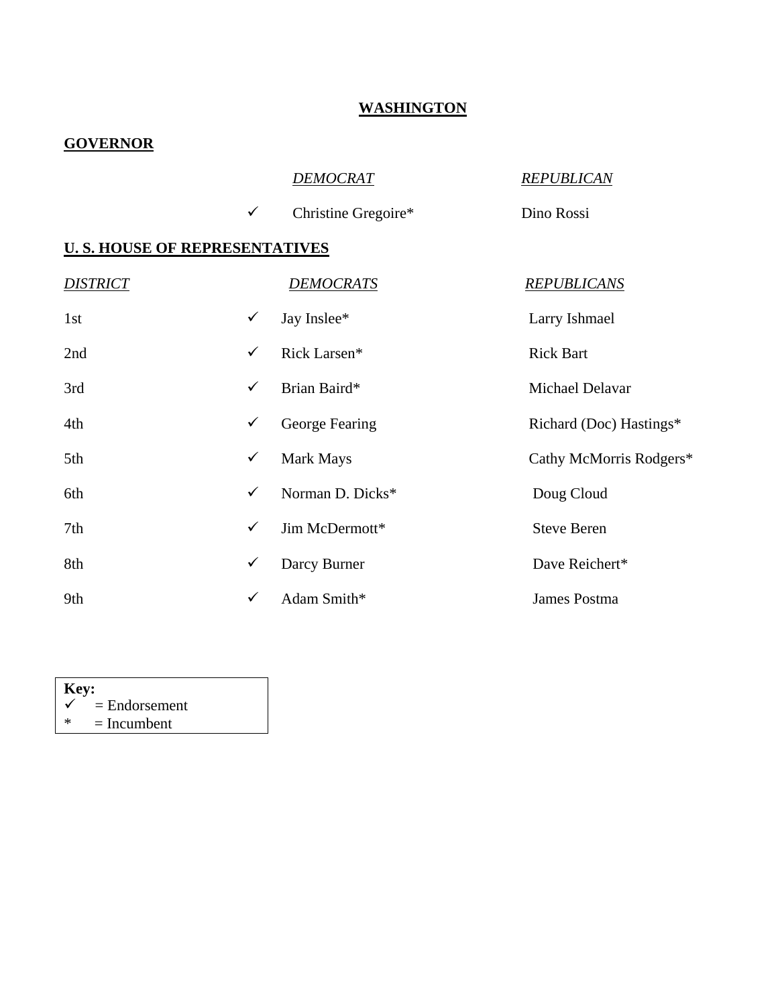#### **WASHINGTON**

### **GOVERNOR**

|                                       |              | <b>DEMOCRAT</b>     | <b>REPUBLICAN</b>       |
|---------------------------------------|--------------|---------------------|-------------------------|
|                                       | $\checkmark$ | Christine Gregoire* | Dino Rossi              |
| <b>U. S. HOUSE OF REPRESENTATIVES</b> |              |                     |                         |
| <b>DISTRICT</b>                       |              | <b>DEMOCRATS</b>    | <b>REPUBLICANS</b>      |
| 1st                                   | $\checkmark$ | Jay Inslee*         | Larry Ishmael           |
| 2nd                                   | $\checkmark$ | Rick Larsen*        | <b>Rick Bart</b>        |
| 3rd                                   | $\checkmark$ | Brian Baird*        | Michael Delavar         |
| 4th                                   | $\checkmark$ | George Fearing      | Richard (Doc) Hastings* |
| 5th                                   | $\checkmark$ | Mark Mays           | Cathy McMorris Rodgers* |
| 6th                                   | ✓            | Norman D. Dicks*    | Doug Cloud              |
| 7th                                   | $\checkmark$ | Jim McDermott*      | <b>Steve Beren</b>      |
| 8th                                   | ✓            | Darcy Burner        | Dave Reichert*          |
| 9th                                   | $\checkmark$ | Adam Smith*         | James Postma            |

| Key:         |                 |  |  |  |  |
|--------------|-----------------|--|--|--|--|
| $\checkmark$ | $=$ Endorsement |  |  |  |  |
| ж            | $=$ Incumbent   |  |  |  |  |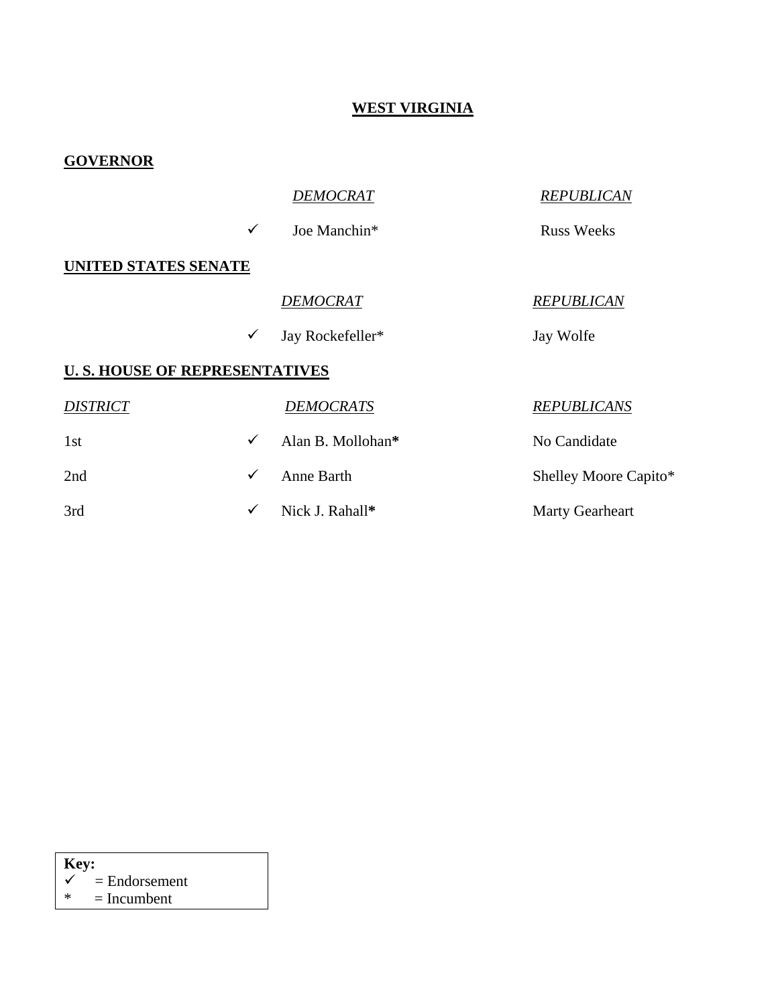# **WEST VIRGINIA**

| <b>GOVERNOR</b>                       |              |                   |                        |
|---------------------------------------|--------------|-------------------|------------------------|
|                                       |              | <b>DEMOCRAT</b>   | <b>REPUBLICAN</b>      |
|                                       | $\checkmark$ | Joe Manchin*      | <b>Russ Weeks</b>      |
| <b>UNITED STATES SENATE</b>           |              |                   |                        |
|                                       |              | DEMOCRAT          | <b>REPUBLICAN</b>      |
|                                       | $\checkmark$ | Jay Rockefeller*  | Jay Wolfe              |
| <b>U. S. HOUSE OF REPRESENTATIVES</b> |              |                   |                        |
| <b>DISTRICT</b>                       |              | <b>DEMOCRATS</b>  | <b>REPUBLICANS</b>     |
| 1st                                   | $\checkmark$ | Alan B. Mollohan* | No Candidate           |
| 2nd                                   | $\checkmark$ | Anne Barth        | Shelley Moore Capito*  |
| 3rd                                   | $\checkmark$ | Nick J. Rahall*   | <b>Marty Gearheart</b> |

| -indorsament |
|--------------|

 $\checkmark$  = Endorsement<br>\* = Incumbent

 $=$  Incumbent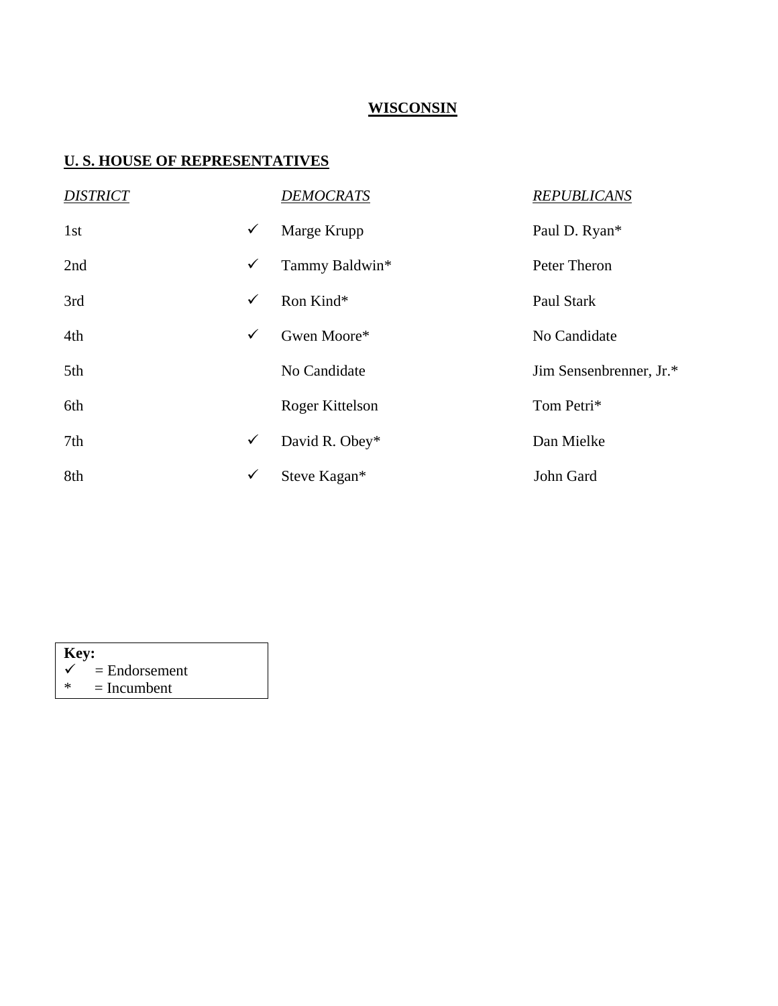### **WISCONSIN**

| <b>DISTRICT</b> |              | <b>DEMOCRATS</b> | <b>REPUBLICANS</b>      |
|-----------------|--------------|------------------|-------------------------|
| 1st             | $\checkmark$ | Marge Krupp      | Paul D. Ryan*           |
| 2nd             | $\checkmark$ | Tammy Baldwin*   | Peter Theron            |
| 3rd             | $\checkmark$ | Ron Kind*        | Paul Stark              |
| 4th             | $\checkmark$ | Gwen Moore*      | No Candidate            |
| 5th             |              | No Candidate     | Jim Sensenbrenner, Jr.* |
| 6th             |              | Roger Kittelson  | Tom Petri*              |
| 7th             | $\checkmark$ | David R. Obey*   | Dan Mielke              |
| 8th             | $\checkmark$ | Steve Kagan*     | John Gard               |

| <b>Key:</b> |                            |  |
|-------------|----------------------------|--|
|             | $\checkmark$ = Endorsement |  |
| *           | $=$ Incumbent              |  |